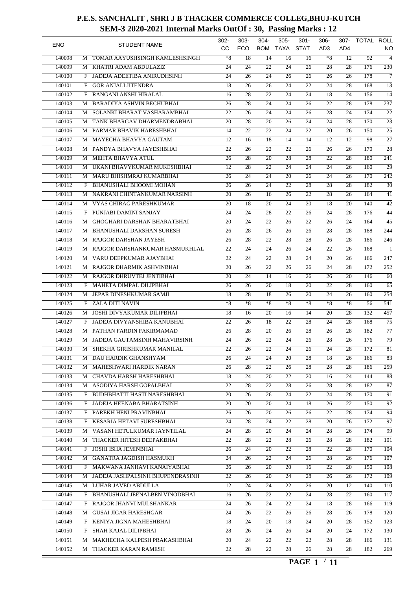| <b>ENO</b> |   | <b>STUDENT NAME</b>                | $302 -$<br>CC.  | $303 -$<br>ECO  | $304 -$<br><b>BOM</b> | $305 -$<br><b>TAXA</b> | $301 -$<br><b>STAT</b> | $306 -$<br>AD3  | 307-<br>AD4     | TOTAL ROLL | NO               |
|------------|---|------------------------------------|-----------------|-----------------|-----------------------|------------------------|------------------------|-----------------|-----------------|------------|------------------|
| 140098     | M | TOMAR AAYUSHSINGH KAMLESHSINGH     | $*8$            | 18              | 14                    | 16                     | 16                     | $*8$            | 12              | 92         | $\overline{4}$   |
| 140099     | М | KHATRI ADAM ABDULAZIZ              | 24              | 24              | 22                    | 24                     | 26                     | 28              | 28              | 176        | $\overline{230}$ |
| 140100     | F | JADEJA ADEETIBA ANIRUDHSINH        | 24              | 26              | 24                    | 26                     | 26                     | 26              | 26              | 178        | $\overline{7}$   |
| 140101     | F | <b>GOR ANJALI JITENDRA</b>         | $\overline{18}$ | 26              | 26                    | 24                     | 22                     | 24              | 28              | 168        | $\overline{13}$  |
| 140102     | F | RANGANI ANSHI HIRALAL              | 16              | 28              | 22                    | 24                     | 24                     | 18              | 24              | 156        | 14               |
| 140103     | М | <b>BARADIYA ASHVIN BECHUBHAI</b>   | 26              | 28              | 24                    | 24                     | 26                     | 22              | 28              | 178        | $\overline{237}$ |
| 140104     | M | SOLANKI BHARAT VASHARAMBHAI        | 22              | 26              | 24                    | $\overline{24}$        | 26                     | 28              | 24              | 174        | $\overline{22}$  |
| 140105     | М | TANK BHARGAV DHARMENDRABHAI        | 20              | $\overline{28}$ | 20                    | 26                     | 24                     | 24              | 28              | 170        | $\overline{23}$  |
| 140106     | M | PARMAR BHAVIK HARESHBHAI           | 14              | $\overline{22}$ | 22                    | 24                     | 22                     | 20              | 26              | 150        | $\overline{25}$  |
| 140107     | М | MAYECHA BHAVYA GAUTAM              | 12              | 16              | 18                    | 14                     | 14                     | 12              | 12              | 98         | $\overline{27}$  |
| 140108     | M | PANDYA BHAVYA JAYESHBHAI           | 22              | 26              | 22                    | 22                     | 26                     | 26              | 26              | 170        | $\overline{28}$  |
| 140109     | M | MEHTA BHAVYA ATUL                  | 26              | 28              | 20                    | 28                     | 28                     | 22              | 28              | 180        | 241              |
|            |   |                                    |                 |                 |                       |                        |                        |                 |                 |            | $\overline{29}$  |
| 140110     | M | UKANI BHAVYKUMAR MUKESHBHAI        | 12              | 28              | 22                    | 24                     | 24                     | 24              | 26              | 160        |                  |
| 140111     | М | MARU BHISHMRAJ KUMARBHAI           | 26              | 24              | 24                    | 20                     | 26                     | 24              | 26              | 170        | $\overline{242}$ |
| 140112     | F | BHANUSHALI BHOOMI MOHAN            | 26              | 26              | 24                    | 22                     | 28                     | 28              | 28              | 182        | $\overline{30}$  |
| 140113     | М | NAKRANI CHINTANKUMAR NARSINH       | 20              | 26              | 16                    | 26                     | 22                     | 28              | 26              | 164        | 41               |
| 140114     | М | VYAS CHIRAG PARESHKUMAR            | 20              | 18              | 20                    | 24                     | 20                     | 18              | 20              | 140        | $\overline{42}$  |
| 140115     | F | PUNJABI DAMINI SANJAY              | 24              | 24              | 28                    | 22                     | 26                     | 24              | 28              | 176        | 44               |
| 140116     | M | GHOGHARI DARSHAN BHARATBHAI        | 20              | 24              | 22                    | 26                     | 22                     | 26              | 24              | 164        | $\overline{45}$  |
| 140117     | М | <b>BHANUSHALI DARSHAN SURESH</b>   | 26              | $\overline{28}$ | 26                    | 26                     | 26                     | 28              | 28              | 188        | 244              |
| 140118     | M | RAJGOR DARSHAN JAYESH              | 26              | $\overline{28}$ | 22                    | 28                     | 28                     | 26              | 28              | 186        | $\overline{246}$ |
| 140119     | М | RAJGOR DARSHANKUMAR HASMUKHLAL     | 22              | 24              | 24                    | 26                     | 24                     | 22              | 26              | 168        | $\overline{1}$   |
| 140120     | M | VARU DEEPKUMAR AJAYBHAI            | 22              | 24              | 22                    | 28                     | 24                     | 20              | 26              | 166        | $\overline{247}$ |
| 140121     | M | RAJGOR DHARMIK ASHVINBHAI          | 20              | 26              | 22                    | 26                     | 26                     | 24              | 28              | 172        | $\overline{252}$ |
| 140122     |   | M RAJGOR DHRUVTEJ JENTIBHAI        | 20              | 24              | 14                    | 16                     | 26                     | 26              | 20              | 146        | 60               |
| 140123     | F | MAHETA DIMPAL DILIPBHAI            | 26              | 26              | 20                    | 18                     | 20                     | 22              | 28              | 160        | $\overline{65}$  |
| 140124     | М | JEPAR DINESHKUMAR SAMJI            | 18              | 28              | 18                    | 26                     | 20                     | 24              | 26              | 160        | 254              |
| 140125     |   | F ZALA DITI NAVIN                  | $*8$            | $*8$            | $*8$                  | $*8$                   | $*8$                   | $*8$            | $*8$            | 56         | 541              |
| 140126     | М | JOSHI DIVYAKUMAR DILIPBHAI         | 18              | 16              | 20                    | 16                     | 14                     | 20              | 28              | 132        | 457              |
| 140127     | F | JADEJA DIVYANSHIBA KANUBHAI        | 22              | 26              | 18                    | 22                     | 28                     | 24              | 28              | 168        | $\overline{75}$  |
| 140128     |   | M PATHAN FARDIN FAKIRMAMAD         | 26              | 28              | 20                    | 26                     | 28                     | 26              | 28              | 182        | $\overline{77}$  |
| 140129     | М | JADEJA GAUTAMSINH MAHAVIRSINH      | 24              | 26              | 22                    | 24                     | 26                     | 28              | 26              | 176        | $\overline{79}$  |
| 140130     | М | SHEKHA GIRISHKUMAR MANILAL         | $\overline{22}$ | $\overline{26}$ | $\overline{22}$       | $\overline{24}$        | $\overline{26}$        | $\overline{24}$ | $\overline{28}$ | 172        | $\overline{81}$  |
| 140131     |   | M DAU HARDIK GHANSHYAM             | 26              | 24              | 24                    | 20                     | 28                     | 18              | 26              | 166        | 83               |
| 140132     | М | MAHESHWARI HARDIK NARAN            | 26              | 28              | 22                    | 26                     | 28                     | 28              | 28              | 186        | $\overline{259}$ |
|            |   |                                    |                 |                 |                       |                        |                        |                 |                 |            |                  |
| 140133     |   | M CHAVDA HARSH HARESHBHAI          | 18              | 24              | 20                    | 22                     | 20                     | 16              | 24              | 144        | 88               |
| 140134     |   | M ASODIYA HARSH GOPALBHAI          | 22              | 28              | 22                    | 28                     | 26                     | 28              | 28              | 182        | 87               |
| 140135     |   | F BUDHBHATTI HASTI NARESHBHAI      | $\overline{20}$ | 26              | 26                    | 24                     | $\overline{22}$        | 24              | 28              | 170        | 91               |
| 140136     |   | F JADEJA HEENABA BHARATSINH        | 20              | 20              | 20                    | 24                     | 18                     | 26              | 22              | 150        | $\overline{92}$  |
| 140137     |   | F PAREKH HENI PRAVINBHAI           | 26              | 26              | 20                    | 26                     | 26                     | 22              | 28              | 174        | 94               |
| 140138     |   | F KESARIA HETAVI SURESHBHAI        | 24              | 28              | 24                    | 22                     | 28                     | 20              | 26              | 172        | 97               |
| 140139     |   | M VASANI HETULKUMAR JAYNTILAL      | 24              | 28              | 20                    | 24                     | 24                     | 28              | 26              | 174        | $\overline{99}$  |
| 140140     |   | M THACKER HITESH DEEPAKBHAI        | 22              | 28              | 22                    | 28                     | 26                     | 28              | 28              | 182        | 101              |
| 140141     | F | JOSHI ISHA JEMINBHAI               | 26              | 24              | 20                    | 22                     | 28                     | 22              | 28              | 170        | 104              |
| 140142     |   | M GANATRA JAGDISH HASMUKH          | 24              | 26              | 22                    | 24                     | 26                     | 28              | 26              | 176        | $\overline{107}$ |
| 140143     |   | F MAKWANA JANHAVI KANAIYABHAI      | 26              | 26              | 20                    | 20                     | 16                     | 22              | 20              | 150        | 108              |
| 140144     |   | M JADEJA JASHPALSINH BHUPENDRASINH | 22              | 26              | 20                    | 24                     | 28                     | 26              | 26              | 172        | 109              |
| 140145     |   | M LUHAR JAVED ABDULLA              | 12              | 24              | 24                    | 22                     | 26                     | 20              | 12              | 140        | 110              |
| 140146     |   | F BHANUSHALI JEENALBEN VINODBHAI   | 16              | 26              | 22                    | 22                     | 24                     | 28              | 22              | 160        | 117              |
| 140147     | F | RAJGOR JHANVI MULSHANKAR           | 24              | 26              | 24                    | 22                     | 24                     | 18              | 28              | 166        | 119              |
| 140148     |   | M GUSAI JIGAR HARESHGAR            | 24              | 26              | 22                    | 26                     | 26                     | 28              | 26              | 178        | 120              |
| 140149     |   | F KENIYA JIGNA MAHESHBHAI          | 18              | 24              | 20                    | 18                     | 24                     | 20              | 28              | 152        | 123              |
| 140150     | F | SHAH KAJAL DILIPBHAI               | 28              | 26              | 24                    | 26                     | 24                     | 20              | 24              | 172        | 130              |
| 140151     | М | MAKHECHA KALPESH PRAKASHBHAI       | 20              | 24              | 22                    | 22                     | 22                     | 28              | 28              | 166        | 131              |
| 140152     |   | M THACKER KARAN RAMESH             | $\overline{22}$ | 28              | 22                    | 28                     | 26                     | 28              | 28              | 182        | 269              |
|            |   |                                    |                 |                 |                       |                        |                        |                 |                 |            |                  |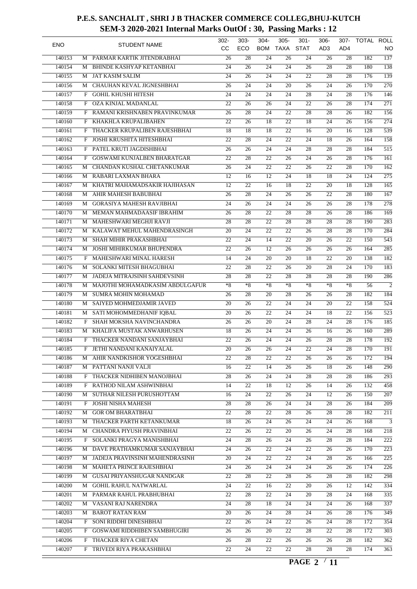| <b>ENO</b> |              | <b>STUDENT NAME</b>                | 302-<br>CC.     | $303 -$<br>ECO  | $304 -$<br><b>BOM</b> | $305 -$<br><b>TAXA</b> | $301 -$<br><b>STAT</b> | $306 -$<br>AD <sub>3</sub> | 307-<br>AD4     | TOTAL ROLL | NO               |
|------------|--------------|------------------------------------|-----------------|-----------------|-----------------------|------------------------|------------------------|----------------------------|-----------------|------------|------------------|
| 140153     | M            | PARMAR KARTIK JITENDRABHAI         | 26              | 28              | 24                    | 26                     | 24                     | 26                         | 28              | 182        | $\overline{137}$ |
| 140154     | M            | <b>BHINDE KASHYAP KETANBHAI</b>    | 24              | 26              | 24                    | 24                     | 26                     | 28                         | 28              | 180        | 138              |
| 140155     | М            | <b>JAT KASIM SALIM</b>             | 24              | 26              | 24                    | 24                     | 22                     | 28                         | 28              | 176        | $\overline{139}$ |
| 140156     | М            | CHAUHAN KEVAL JIGNESHBHAI          | $\overline{26}$ | $\overline{24}$ | $\overline{24}$       | 20                     | $\overline{26}$        | 24                         | 26              | 170        | 270              |
| 140157     | F            | <b>GOHIL KHUSHI HITESH</b>         | 24              | 24              | 24                    | $\overline{24}$        | 28                     | 24                         | 28              | 176        | $\overline{146}$ |
| 140158     | F            | <b>OZA KINJAL MADANLAL</b>         | $\overline{22}$ | 26              | 26                    | 24                     | 22                     | 26                         | 28              | 174        | $\overline{271}$ |
| 140159     | F            | RAMANI KRISHNABEN PRAVINKUMAR      | $\overline{26}$ | 28              | 24                    | $\overline{22}$        | 28                     | 28                         | 26              | 182        | 156              |
| 140160     |              | KHAKHLA KRUPALIBAHEN               | $\overline{22}$ | $\overline{26}$ | $\overline{18}$       | 22                     | 18                     | 24                         | 26              | 156        | $\overline{274}$ |
|            | F            |                                    |                 |                 |                       |                        |                        |                            |                 |            | $\overline{539}$ |
| 140161     | F            | THACKER KRUPALIBEN RAJESHBHAI      | 18              | 18              | $\overline{18}$       | 22                     | 16                     | 20                         | 16              | 128        |                  |
| 140162     | F            | JOSHI KRUSHITA HITESHBHAI          | $\overline{22}$ | 28              | $\overline{24}$       | 22                     | $\overline{24}$        | 18                         | 26              | 164        | 158              |
| 140163     | F            | PATEL KRUTI JAGDISHBHAI            | 26              | $\overline{26}$ | 24                    | 24                     | 28                     | 28                         | 28              | 184        | $\overline{515}$ |
| 140164     | F            | <b>GOSWAMI KUNJALBEN BHARATGAR</b> | 22              | 28              | 22                    | 26                     | 24                     | 26                         | 28              | 176        | 161              |
| 140165     | M            | CHANDAN KUSHAL CHETANKUMAR         | 26              | 24              | 22                    | $\overline{22}$        | 26                     | 22                         | 28              | 170        | $\overline{162}$ |
| 140166     | М            | RABARI LAXMAN BHARA                | 12              | 16              | 12                    | 24                     | 18                     | 18                         | 24              | 124        | $\overline{275}$ |
| 140167     | М            | KHATRI MAHAMADSAKIR HAJIHASAN      | 12              | $\overline{22}$ | 16                    | 18                     | 22                     | 20                         | 18              | 128        | $\overline{165}$ |
| 140168     | М            | AHIR MAHESH BABUBHAI               | 26              | 28              | 24                    | 26                     | 26                     | 22                         | 28              | 180        | $\overline{167}$ |
| 140169     | М            | <b>GORASIYA MAHESH RAVJIBHAI</b>   | 24              | $\overline{26}$ | 24                    | $\overline{24}$        | 26                     | 26                         | 28              | 178        | $\overline{278}$ |
| 140170     | М            | MEMAN MAHMADAASIF IBRAHIM          | 26              | $\overline{28}$ | $\overline{22}$       | 28                     | $\overline{28}$        | 26                         | 28              | 186        | $\overline{169}$ |
| 140171     | М            | MAHESHWARI MEGHJI RAVJI            | 28              | 28              | 22                    | 28                     | 28                     | 28                         | 28              | 190        | 283              |
| 140172     | М            | KALAWAT MEHUL MAHENDRASINGH        | 20              | 24              | 22                    | 22                     | 26                     | 28                         | 28              | 170        | $\overline{284}$ |
| 140173     | М            | SHAH MIHIR PRAKASHBHAI             | 22              | 24              | 14                    | 22                     | 20                     | 26                         | 22              | 150        | $\overline{543}$ |
| 140174     | М            | JOSHI MIHIRKUMAR BHUPENDRA         | $\overline{22}$ | 26              | 12                    | $\overline{26}$        | 26                     | 26                         | 26              | 164        | 285              |
| 140175     | F            | MAHESHWARI MINAL HARESH            | 14              | 24              | 20                    | $\overline{20}$        | 18                     | 22                         | 20              | 138        | $\overline{182}$ |
| 140176     | M            | SOLANKI MITESH BHAGUBHAI           | 22              | 28              | 22                    | 26                     | $\overline{20}$        | 28                         | 24              | 170        | 183              |
| 140177     | M            | JADEJA MITRAJSINH SAHDEVSINH       | $\overline{28}$ | 28              | 22                    | 28                     | 28                     | 28                         | 28              | 190        | 286              |
| 140178     | М            | MAJOTHI MOHAMADKASIM ABDULGAFUR    | $*8$            | $*8$            | $*8$                  | $*8$                   | $*8$                   | $*8$                       | $*8$            | 56         | $\overline{2}$   |
| 140179     | М            | SUMRA MOHIN MOHAMAD                | 26              | 28              | 20                    | 28                     | 26                     | 26                         | 28              | 182        | 184              |
| 140180     | М            | SAIYED MOHMEDJAMIR JAVED           | 20              | 26              | 22                    | $\overline{24}$        | 24                     | 20                         | 22              | 158        | $\overline{524}$ |
| 140181     | М            | SATI MOHOMMEDHANIF IQBAL           | $\overline{20}$ | $\overline{26}$ | $\overline{22}$       | $\overline{24}$        | 24                     | 18                         | 22              | 156        | $\overline{523}$ |
| 140182     | F            | SHAH MOKSHA NAVINCHANDRA           | 26              | 26              | 20                    | 24                     | $\overline{28}$        | 24                         | 28              | 176        | $\overline{185}$ |
| 140183     | М            | KHALIFA MUSTAK ANWARHUSEN          | 18              | 26              | 24                    | $\overline{24}$        | 26                     | 16                         | 26              | 160        | 289              |
| 140184     | F            | THACKER NANDANI SANJAYBHAI         | 22              | 26              | 24                    | 24                     | 26                     | 28                         | 28              | 178        | 192              |
| 140185     | $\mathbf{F}$ | JETHI NANDANI KANAIYALAL           | $\overline{20}$ | $\overline{26}$ | $\overline{26}$       | $\overline{24}$        | $\overline{22}$        | $\overline{24}$            | $\overline{28}$ | 170        | 191              |
| 140186     |              | M AHIR NANDKISHOR YOGESHBHAI       | 22              | 28              | 22                    | 22                     | 26                     | 26                         | 26              | 172        | 194              |
| 140187     | M            | PATTANI NANJI VALJI                | 16              | $\overline{22}$ | 14                    | 26                     | 26                     | 18                         | 26              | 148        | 290              |
| 140188     |              | F THACKER NIDHIBEN MANOJBHAI       | 28              | 26              | 24                    | 24                     | 28                     | 28                         | 28              | 186        | $\overline{293}$ |
| 140189     |              | F RATHOD NILAM ASHWINBHAI          | 14              | 22              | 18                    | 12                     | 26                     | 14                         | 26              | 132        | 458              |
| 140190     |              | SUTHAR NILESH PURUSHOTTAM          |                 | $\overline{24}$ |                       |                        | 24                     | 12                         | 26              |            | $\overline{207}$ |
|            | М            |                                    | 16              |                 | 22                    | 26                     |                        |                            |                 | 150        |                  |
| 140191     | F            | <b>JOSHI NISHA MAHESH</b>          | 28              | 28              | 26                    | 24                     | 24                     | 28                         | 26              | 184        | 209              |
| 140192     |              | M GOR OM BHARATBHAI                | 22              | 28              | 22                    | 28                     | 26                     | 28                         | 28              | 182        | 211              |
| 140193     |              | M THACKER PARTH KETANKUMAR         | 18              | 26              | 24                    | 26                     | 24                     | 24                         | 26              | 168        | 3                |
| 140194     |              | M CHANDRA PIYUSH PRAVINBHAI        | 22              | 26              | 22                    | 20                     | 26                     | 24                         | 28              | 168        | $\overline{218}$ |
| 140195     |              | F SOLANKI PRAGYA MANISHBHAI        | 24              | 28              | 26                    | 24                     | 26                     | 28                         | 28              | 184        | 222              |
| 140196     |              | M DAVE PRATHAMKUMAR SANJAYBHAI     | 24              | 26              | 22                    | 24                     | 22                     | 26                         | 26              | 170        | 223              |
| 140197     |              | M JADEJA PRAVINSINH MAHENDRASINH   | 20              | 24              | 22                    | 22                     | 24                     | 28                         | 26              | 166        | $\overline{225}$ |
| 140198     |              | M MAHETA PRINCE RAJESHBHAI         | 24              | 26              | 24                    | 24                     | 24                     | 26                         | 26              | 174        | 226              |
| 140199     |              | M GUSAI PRIYANSHUGAR NANDGAR       | 22              | 28              | 22                    | 28                     | 26                     | 28                         | 28              | 182        | 298              |
| 140200     |              | M GOHIL RAHUL NATWARLAL            | 24              | 22              | 16                    | 22                     | 20                     | 26                         | 12              | 142        | 334              |
| 140201     |              | M PARMAR RAHUL PRABHUBHAI          | 22              | 28              | 22                    | 24                     | 20                     | 28                         | 24              | 168        | 335              |
| 140202     | M            | VASANI RAJ NARENDRA                | 24              | 28              | 18                    | 24                     | 24                     | 24                         | 26              | 168        | 337              |
| 140203     |              | M BAROT RATAN RAM                  | 20              | 26              | 24                    | 28                     | 24                     | 26                         | 28              | 176        | $\overline{349}$ |
| 140204     |              | F SONI RIDDHI DINESHBHAI           | 22              | 26              | 24                    | 22                     | 26                     | 24                         | 28              | 172        | 354              |
| 140205     |              | F GOSWAMI RIDDHIBEN SAMBHUGIRI     | 26              | 26              | 20                    | 22                     | 28                     | 22                         | 28              | 172        | 303              |
| 140206     | F            | THACKER RIYA CHETAN                | 26              | 28              | 22                    | 26                     | 26                     | 26                         | 28              | 182        | $\overline{362}$ |
| 140207     |              | F TRIVEDI RIYA PRAKASHBHAI         | $\overline{22}$ | $\overline{24}$ | 22                    | $\overline{22}$        | 28                     | 28                         | 28              | 174        | 363              |
|            |              |                                    |                 |                 |                       |                        |                        |                            |                 |            |                  |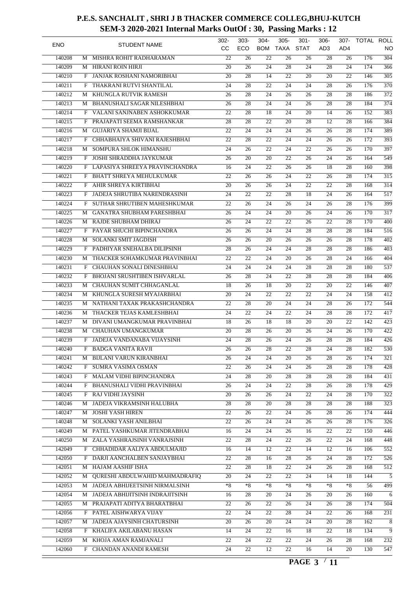| <b>ENO</b> |   | <b>STUDENT NAME</b>               | 302-<br>CC.     | $303 -$<br>ECO  | $304 -$<br><b>BOM</b> | $305 -$<br><b>TAXA</b> | $301 -$<br><b>STAT</b> | $306 -$<br>AD <sub>3</sub> | 307-<br>AD4     | TOTAL ROLL | NO               |
|------------|---|-----------------------------------|-----------------|-----------------|-----------------------|------------------------|------------------------|----------------------------|-----------------|------------|------------------|
| 140208     | M | MISHRA ROHIT RADHARAMAN           | 22              | 26              | 22                    | 26                     | 26                     | 28                         | 26              | 176        | $\overline{304}$ |
| 140209     | M | <b>HIRANI ROIN HIRJI</b>          | 20              | 26              | 24                    | 28                     | 24                     | 28                         | 24              | 174        | 366              |
| 140210     | F | JANJAK ROSHANI NAMORIBHAI         | 20              | 28              | 14                    | 22                     | 20                     | 20                         | 22              | 146        | $\overline{305}$ |
| 140211     | F | THAKRANI RUTVI SHANTILAL          | 24              | 28              | $\overline{22}$       | $\overline{24}$        | 24                     | 28                         | 26              | 176        | 370              |
| 140212     | М | KHUNGLA RUTVIK RAMESH             | 26              | 28              | 24                    | 26                     | 26                     | 28                         | 28              | 186        | $\overline{372}$ |
| 140213     | M | BHANUSHALI SAGAR NILESHBHAI       | 26              | 28              | 24                    | 24                     | 26                     | 28                         | 28              | 184        | 374              |
| 140214     | F | VALANI SANJNABEN ASHOKKUMAR       | 22              | 28              | 18                    | $\overline{24}$        | 20                     | 14                         | 26              | 152        | 383              |
| 140215     | F | PRAJAPATI SEEMA RAMSHANKAR        | 28              | $\overline{28}$ | 22                    | 20                     | 28                     | 12                         | 28              | 166        | 384              |
| 140216     | М | <b>GUJARIYA SHAMJI BIJAL</b>      | 22              | 24              | 24                    | 24                     | 26                     | 26                         | 28              | 174        | 389              |
| 140217     | F | CHHABHAIYA SHIVANI RAJESHBHAI     | $\overline{22}$ | 28              | $\overline{22}$       | 24                     | $\overline{24}$        | 26                         | 26              | 172        | 393              |
| 140218     | M | SOMPURA SHLOK HIMANSHU            | 24              | 26              | 22                    | 24                     | 22                     | 26                         | 26              | 170        | 397              |
| 140219     | F | <b>JOSHI SHRADDHA JAYKUMAR</b>    | 26              | 20              | 20                    | 22                     | 26                     | 24                         | 26              | 164        | 549              |
| 140220     | F | LAPASIYA SHREEYA PRAVINCHANDRA    | 16              | 24              | 22                    | 26                     | 26                     | 18                         | 28              | 160        | 398              |
| 140221     | F | <b>BHATT SHREYA MEHULKUMAR</b>    | 22              | 26              | 26                    | 24                     | 22                     | 26                         | 28              | 174        | $\overline{315}$ |
| 140222     |   |                                   | 20              | 26              |                       | 24                     | 22                     | 22                         | 28              | 168        | $\overline{314}$ |
|            | F | AHIR SHREYA KIRTIBHAI             |                 |                 | 26                    |                        |                        |                            |                 |            |                  |
| 140223     | F | JADEJA SHRUTIBA NARENDRASINH      | 24              | 22              | 22                    | 28                     | 18                     | 24                         | 26              | 164        | $\overline{517}$ |
| 140224     | F | SUTHAR SHRUTIBEN MAHESHKUMAR      | 22              | 26              | 24                    | 26                     | 24                     | 26                         | 28              | 176        | 399              |
| 140225     | М | GANATRA SHUBHAM PARESHBHAI        | 26              | 24              | 24                    | 20                     | 26                     | 24                         | 26              | 170        | $\overline{317}$ |
| 140226     | М | RAJDE SHUBHAM DHIRAJ              | 26              | 24              | 22                    | 22                     | 26                     | 22                         | 28              | 170        | 400              |
| 140227     | F | PAYAR SHUCHI BIPINCHANDRA         | 26              | $\overline{26}$ | 24                    | 24                     | 28                     | 28                         | 28              | 184        | $\overline{516}$ |
| 140228     | М | SOLANKI SMIT JAGDISH              | 26              | 26              | 20                    | 26                     | 26                     | 26                         | 28              | 178        | 402              |
| 140229     | F | PADHIYAR SNEHALBA DILIPSINH       | 28              | 26              | 24                    | $\overline{24}$        | 28                     | 28                         | 28              | 186        | 403              |
| 140230     | M | THACKER SOHAMKUMAR PRAVINBHAI     | 22              | 22              | 24                    | $\overline{20}$        | 26                     | 28                         | 24              | 166        | 404              |
| 140231     | F | CHAUHAN SONALI DINESHBHAI         | 24              | 24              | 24                    | 24                     | 28                     | 28                         | 28              | 180        | $\overline{537}$ |
| 140232     | F | BHOJANI SRUSHTIBEN ISHVARLAL      | 26              | 28              | 24                    | 22                     | 28                     | 28                         | 28              | 184        | 406              |
| 140233     | М | CHAUHAN SUMIT CHHAGANLAL          | $\overline{18}$ | 26              | 18                    | 20                     | 22                     | 20                         | 22              | 146        | 407              |
| 140234     | М | KHUNGLA SURESH MYAJARBHAI         | 20              | 24              | 22                    | 22                     | 22                     | 24                         | 24              | 158        | $\overline{412}$ |
| 140235     | М | NATHANI TAXAK PRAKASHCHANDRA      | 22              | 28              | 20                    | 24                     | 24                     | 28                         | 26              | 172        | 544              |
| 140236     | М | THACKER TEJAS KAMLESHBHAI         | 24              | 22              | 24                    | $\overline{22}$        | 24                     | 28                         | 28              | 172        | 417              |
| 140237     | М | DIVANI UMANGKUMAR PRAVINBHAI      | 18              | 26              | 18                    | 18                     | 20                     | 20                         | 22              | 142        | $\overline{423}$ |
| 140238     | M | CHAUHAN UMANGKUMAR                | 20              | 28              | 26                    | 20                     | 26                     | 24                         | 26              | 170        | $\overline{422}$ |
| 140239     | F | JADEJA VANDANABA VIJAYSINH        | 24              | 28              | 26                    | 24                     | 26                     | 28                         | 28              | 184        | 426              |
| 140240     | F | BADGA VANITA RAVJI                | $\overline{26}$ | 26              | $\overline{28}$       | $\overline{22}$        | $\overline{28}$        | $\overline{24}$            | $\overline{28}$ | 182        | $\overline{530}$ |
| 140241     |   | M BIJLANI VARUN KIRANBHAI         | 26              | 24              | 24                    | 20                     | 26                     | 28                         | 26              | 174        | 321              |
| 140242     | F | SUMRA VASIMA OSMAN                | $\overline{22}$ | 26              | 24                    | 24                     | 26                     | 28                         | $\overline{28}$ | 178        | $\overline{428}$ |
| 140243     |   | F MALAM VIDHI BIPINCHANDRA        | 24              | 28              | 20                    | 28                     | 28                     | 28                         | 28              | 184        | $\overline{431}$ |
| 140244     |   | F BHANUSHALI VIDHI PRAVINBHAI     | 26              | 24              | 24                    | 22                     | 28                     | 26                         | 28              | 178        | $\overline{429}$ |
| 140245     | F | RAJ VIDHI JAYSINH                 | $\overline{20}$ | 26              | 26                    | 24                     | 22                     | $\overline{24}$            | 28              | 170        | 322              |
| 140246     |   | JADEJA VIKRAMSINH HALUBHA         | $\overline{28}$ |                 |                       |                        |                        |                            |                 |            |                  |
|            | М |                                   |                 | 28              | 20                    | 28                     | 28                     | 28                         | 28              | 188        | $\overline{323}$ |
| 140247     |   | M JOSHI YASH HIREN                | 22              | 26              | 22                    | 24                     | 26                     | 28                         | 26              | 174        | 444              |
| 140248     |   | M SOLANKI YASH ANILBHAI           | 22              | 26              | 24                    | 24                     | 26                     | 26                         | 28              | 176        | 326              |
| 140249     |   | M PATEL YASHKUMAR JITENDRABHAI    | 16              | 24              | 24                    | 26                     | 16                     | 22                         | 22              | 150        | 446              |
| 140250     |   | M ZALA YASHRAJSINH VANRAJSINH     | $\overline{22}$ | 28              | 24                    | 22                     | 26                     | 22                         | 24              | 168        | 448              |
| 142049     | F | CHHADIDAR AALIYA ABDULMAJID       | 16              | 14              | 12                    | 22                     | 14                     | 12                         | 16              | 106        | 552              |
| 142050     |   | F DARJI AANCHALBEN SANJAYBHAI     | 22              | 28              | 16                    | 28                     | 26                     | 24                         | 28              | 172        | 526              |
| 142051     |   | M HAJAM AASHIF ISHA               | 22              | 28              | 18                    | 22                     | 24                     | 26                         | 28              | 168        | 512              |
| 142052     | M | QURESHI ABDULWAHID MAHMADRAFIQ    | 20              | 24              | 22                    | 22                     | 24                     | 14                         | 18              | 144        | 5                |
| 142053     |   | M JADEJA ABHIJEETSINH NIRMALSINH  | $*8$            | $*8$            | *8                    | $*8$                   | $*8$                   | $*8$                       | $*8$            | 56         | 499              |
| 142054     |   | M JADEJA ABHIJITSINH INDRAJITSINH | 16              | 28              | 20                    | $\overline{24}$        | 26                     | 20                         | 26              | 160        | 6                |
| 142055     |   | M PRAJAPATI ADITYA BHARATBHAI     | 22              | 26              | 22                    | 26                     | 24                     | 26                         | 28              | 174        | 504              |
| 142056     | F | PATEL AISHWARYA VIJAY             | $\overline{22}$ | 24              | 22                    | 28                     | 24                     | 22                         | 26              | 168        | 231              |
| 142057     |   | M JADEJA AJAYSINH CHATURSINH      | 20              | 26              | 20                    | 24                     | 24                     | 20                         | 28              | 162        | 8                |
| 142058     | F | KHALIFA AKILABANU HASAN           | 14              | 24              | 22                    | 16                     | 18                     | 22                         | 18              | 134        | 9                |
| 142059     | М | KHOJA AMAN RAMJANALI              | $\overline{22}$ | 24              | 22                    | 22                     | 24                     | 26                         | 28              | 168        | $\overline{232}$ |
| 142060     |   | F CHANDAN ANANDI RAMESH           | $\overline{24}$ | 22              | 12                    | $\overline{22}$        | 16                     | 14                         | 20              | 130        | 547              |
|            |   |                                   |                 |                 |                       |                        |                        |                            |                 |            |                  |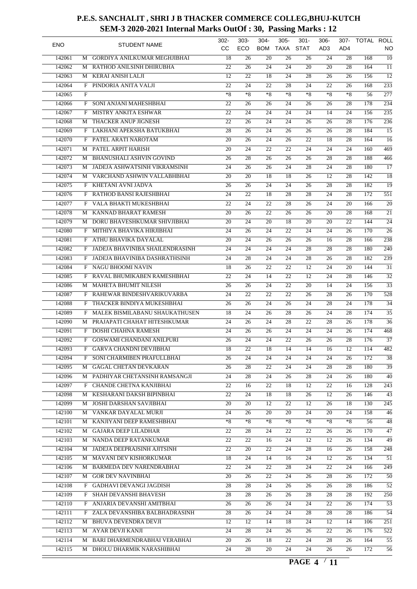| <b>ENO</b> |              | <b>STUDENT NAME</b>              | $302 -$<br>CC.  | $303 -$<br>ECO  | $304 -$<br><b>BOM</b> | $305 -$<br><b>TAXA</b> | $301 -$<br><b>STAT</b> | $306 -$<br>AD3  | $307 -$<br>AD4  | TOTAL ROLL | NO               |
|------------|--------------|----------------------------------|-----------------|-----------------|-----------------------|------------------------|------------------------|-----------------|-----------------|------------|------------------|
| 142061     | M            | GORDIYA ANILKUMAR MEGHJIBHAI     | 18              | 26              | 20                    | 26                     | 26                     | 24              | 28              | 168        | $\overline{10}$  |
| 142062     | М            | RATHOD ANILSINH DHIRUBHA         | 22              | 26              | 24                    | 24                     | 20                     | 20              | 28              | 164        | $\overline{11}$  |
| 142063     | М            | KERAI ANISH LALJI                | 12              | 22              | 18                    | 24                     | 28                     | 26              | 26              | 156        | $\overline{12}$  |
| 142064     | F            | PINDORIA ANITA VALJI             | 22              | 24              | $\overline{22}$       | 28                     | 24                     | 22              | 26              | 168        | $\overline{233}$ |
| 142065     | F            |                                  | $*8$            | $*8$            | $*8$                  | $*8$                   | $*8$                   | $*8$            | $*8$            | 56         | $\overline{277}$ |
|            |              | SONI ANJANI MAHESHBHAI           |                 |                 |                       |                        |                        |                 | 28              |            | 234              |
| 142066     | F            | <b>MISTRY ANKITA ESHWAR</b>      | 22              | 26              | 26                    | 24                     | 26                     | 26              |                 | 178        |                  |
| 142067     | F            |                                  | $\overline{22}$ | $\overline{24}$ | $\overline{24}$       | $\overline{24}$        | 24                     | 14              | 24              | 156        | 235              |
| 142068     | М            | THACKER ANUP JIGNESH             | 22              | 26              | 24                    | 24                     | 26                     | 26              | 28              | 176        | $\overline{236}$ |
| 142069     |              | F LAKHANI APEKSHA BATUKBHAI      | 28              | 26              | 24                    | 26                     | 26                     | 26              | 28              | 184        | $\overline{15}$  |
| 142070     | F            | PATEL ARATI NAROTAM              | 20              | 26              | $\overline{24}$       | $\overline{26}$        | 22                     | 18              | 28              | 164        | $\overline{16}$  |
| 142071     | M            | PATEL ARPIT HARISH               | 20              | 24              | 22                    | 22                     | 24                     | 24              | 24              | 160        | 469              |
| 142072     | M            | <b>BHANUSHALI ASHVIN GOVIND</b>  | 26              | 28              | 26                    | 26                     | 26                     | 28              | 28              | 188        | 466              |
| 142073     |              | M JADEJA ASHWATSINH VIKRAMSINH   | 24              | 26              | 26                    | 24                     | 28                     | 24              | 28              | 180        | $\overline{17}$  |
| 142074     | М            | VARCHAND ASHWIN VALLABHBHAI      | 20              | 20              | 18                    | 18                     | 26                     | 12              | 28              | 142        | $\overline{18}$  |
| 142075     | F            | KHETANI AVNI JADVA               | 26              | 26              | 24                    | 24                     | 26                     | 28              | 28              | 182        | $\overline{19}$  |
| 142076     | F            | RATHOD BANSI RAJESHBHAI          | 24              | 22              | 18                    | 28                     | 28                     | 24              | 28              | 172        | 551              |
| 142077     | F            | VALA BHAKTI MUKESHBHAI           | 22              | 24              | 22                    | 28                     | 26                     | 24              | 20              | 166        | $\overline{20}$  |
| 142078     | М            | KANNAD BHARAT RAMESH             | 20              | 26              | 22                    | 26                     | 26                     | 20              | 28              | 168        | $\overline{21}$  |
| 142079     | М            | DORU BHAVESHKUMAR SHIVJIBHAI     | 20              | 24              | 20                    | 18                     | 20                     | 20              | 22              | 144        | $\overline{24}$  |
| 142080     | F            | MITHIYA BHAVIKA HIRJIBHAI        | 24              | 26              | 24                    | 22                     | 24                     | 24              | 26              | 170        | $\overline{26}$  |
| 142081     | F            | ATHU BHAVIKA DAYALAL             | $\overline{20}$ | $\overline{24}$ | 26                    | 26                     | 26                     | 16              | 28              | 166        | $\overline{238}$ |
| 142082     | F            | JADEJA BHAVINIBA SHAILENDRASINH  | 24              | 24              | 24                    | 24                     | 28                     | 28              | 28              | 180        | $\overline{240}$ |
| 142083     | F            | JADEJA BHAVINIBA DASHRATHSINH    | 24              | 28              | 24                    | 24                     | 28                     | 26              | 28              | 182        | 239              |
| 142084     | F            | <b>NAGU BHOOMI NAVIN</b>         | 18              | 26              | 22                    | 22                     | 12                     | 24              | 20              | 144        | $\overline{31}$  |
| 142085     | F            | RAVAL BHUMIKABEN RAMESHBHAI      | 22              | 24              | 14                    | 22                     | 12                     | 24              | 28              | 146        | $\overline{32}$  |
| 142086     | М            | <b>MAHETA BHUMIT NILESH</b>      | 26              | 26              | 24                    | 22                     | 20                     | 14              | 24              | 156        | $\overline{33}$  |
| 142087     | F            | RAHEWAR BINDESHVARIKUVARBA       | 24              | 22              | 22                    | 22                     | 26                     | 28              | 26              | 170        | $\overline{528}$ |
| 142088     | F            | THACKER BINDIYA MUKESHBHAI       | 26              | 26              | 24                    | 26                     | 24                     | 28              | 24              | 178        | $\overline{34}$  |
|            |              | MALEK BISMILABANU SHAUKATHUSEN   |                 | 24              | 26                    | $\overline{28}$        |                        | 24              | 28              | 174        | $\overline{35}$  |
| 142089     | F            |                                  | 18              |                 |                       |                        | 26                     |                 |                 |            |                  |
| 142090     | М            | PRAJAPATI CHAHAT HITESHKUMAR     | 24              | 26              | 24                    | $\overline{28}$        | 22                     | 28              | 26              | 178        | $\overline{36}$  |
| 142091     | F            | DOSHI CHAHNA RAMESH              | 24              | 26              | 26                    | 24                     | 24                     | 24              | 26              | 174        | 468              |
| 142092     | $\mathbf{F}$ | <b>GOSWAMI CHANDANI ANILPURI</b> | 26              | 24              | $\overline{24}$       | 22                     | 26                     | 26              | 28              | 176        | $\overline{37}$  |
| 142093     |              | F GARVA CHANDNI DEVJIBHAI        | $\overline{18}$ | $\overline{22}$ | 18                    | 14                     | 14                     | $\overline{16}$ | $\overline{12}$ | 114        | $\overline{482}$ |
| 142094     |              | F SONI CHARMIBEN PRAFULLBHAI     | 26              | 24              | 24                    | 24                     | 24                     | 24              | 26              | 172        | 38               |
| 142095     |              | M GAGAL CHETAN DEVKARAN          | 26              | 28              | 22                    | 24                     | 24                     | 28              | 28              | 180        | $\overline{39}$  |
| 142096     |              | M PADHIYAR CHETANSINH RAMSANGJI  | 24              | 28              | 24                    | 26                     | 28                     | 24              | 26              | 180        | 40               |
| 142097     |              | F CHANDE CHETNA KANJIBHAI        | 22              | 16              | 22                    | 18                     | 12                     | 22              | 16              | 128        | 243              |
| 142098     | М            | KESHARANI DAKSH BIPINBHAI        | $\overline{22}$ | 24              | 18                    | 18                     | 26                     | 12              | 26              | 146        | $\overline{43}$  |
| 142099     | M            | <b>JOSHI DARSHAN SAVJIBHAI</b>   | 20              | 20              | 12                    | 22                     | 12                     | 26              | 18              | 130        | $\overline{245}$ |
| 142100     |              | M VANKAR DAYALAL MURJI           | 24              | 26              | 20                    | 20                     | 24                     | 20              | 24              | 158        | 46               |
| 142101     |              | M KANJIYANI DEEP RAMESHBHAI      | $*8$            | $*8$            | $*8$                  | $^{\ast}8$             | $*8$                   | $*8$            | $*8$            | 56         | 48               |
| 142102     |              | M GAJARA DEEP LILADHAR           | 22              | 28              | 24                    | 22                     | 22                     | 26              | 26              | 170        | $\overline{47}$  |
| 142103     |              | M NANDA DEEP RATANKUMAR          | 22              | 22              | 16                    | 24                     | 12                     | 12              | 26              | 134        | 49               |
| 142104     | М            | JADEJA DEEPRAJSINH AJITSINH      | 22              | 20              | 22                    | 24                     | 28                     | 16              | 26              | 158        | 248              |
| 142105     |              | M MAVANI DEV KISHORKUMAR         | 18              | 24              | 14                    | 16                     | 24                     | 12              | 26              | 134        | 51               |
| 142106     |              | M BARMEDA DEV NARENDRABHAI       | 22              | 24              | 22                    | 28                     | 24                     | 22              | 24              | 166        | 249              |
| 142107     |              | M GOR DEV NAVINBHAI              | 20              | 26              | 22                    | 24                     | 26                     | 28              | 26              | 172        | 50               |
| 142108     |              | F GADHAVI DEVANGI JAGDISH        | 28              | 28              | 24                    | 26                     | 26                     | 26              | 28              | 186        | $\overline{52}$  |
| 142109     |              | F SHAH DEVANSHI BHAVESH          | 28              | 28              | 26                    | 26                     | 28                     | 28              | 28              | 192        | 250              |
| 142110     |              | F ANJARIA DEVANSHI AMITBHAI      | 26              | 26              | 26                    | 24                     | 24                     | 22              | 26              | 174        | 53               |
| 142111     | F            | ZALA DEVANSHIBA BALBHADRASINH    | 28              | 26              | 24                    | 24                     | 28                     | 28              | 28              | 186        | $\overline{54}$  |
|            |              |                                  |                 |                 |                       |                        |                        |                 |                 |            |                  |
| 142112     |              | M BHUVA DEVENDRA DEVJI           | 12              | 12              | 14                    | 18                     | 24                     | 12              | 14              | 106        | 251              |
| 142113     |              | M AYAR DEVJI KANJI               | 24              | 28              | 24                    | 26                     | 26                     | 22              | 26              | 176        | 522              |
| 142114     |              | M BARI DHARMENDRABHAI VERABHAI   | 20              | 26              | 18                    | 22                     | 24                     | 28              | 26              | 164        | $\overline{55}$  |
| 142115     |              | M DHOLU DHARMIK NARASHIBHAI      | 24              | 28              | 20                    | 24                     | 24                     | 26              | 26              | 172        | 56               |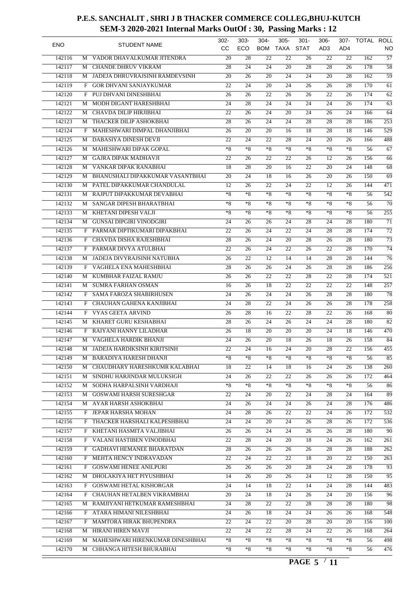| <b>ENO</b> |   | <b>STUDENT NAME</b>              | 302-<br>cc      | $303 -$<br>ECO  | $304 -$<br><b>BOM</b> | $305 -$<br><b>TAXA</b> | $301 -$<br><b>STAT</b> | $306 -$<br>AD <sub>3</sub> | 307-<br>AD4     | TOTAL ROLL | NO               |
|------------|---|----------------------------------|-----------------|-----------------|-----------------------|------------------------|------------------------|----------------------------|-----------------|------------|------------------|
| 142116     | M | VADOR DHAVALKUMAR JITENDRA       | 20              | 28              | 22                    | 22                     | 26                     | 22                         | 22              | 162        | $\overline{57}$  |
| 142117     | M | <b>CHANDE DHRUV VIKRAM</b>       | 28              | 24              | 24                    | 20                     | 28                     | 28                         | 26              | 178        | $\overline{58}$  |
| 142118     | М | JADEJA DHRUVRAJSINH RAMDEVSINH   | 20              | 26              | 20                    | 24                     | 24                     | 20                         | 28              | 162        | $\overline{59}$  |
| 142119     | F | <b>GOR DHVANI SANJAYKUMAR</b>    | 22              | $\overline{24}$ | 20                    | $\overline{24}$        | 26                     | 26                         | 28              | 170        | $\overline{61}$  |
| 142120     | F | PUJ DHVANI DINESHBHAI            | 26              | 26              | 22                    | 26                     | 26                     | 22                         | 26              | 174        | $\overline{62}$  |
| 142121     | M | MODH DIGANT HARESHBHAI           | 24              | 28              | 24                    | 24                     | 24                     | 24                         | 26              | 174        | 63               |
| 142122     | М | CHAVDA DILIP HIRJIBHAI           | $\overline{22}$ | $\overline{26}$ | 24                    | 20                     | 24                     | 26                         | 24              | 166        | 64               |
| 142123     |   | <b>THACKER DILIP ASHOKBHAI</b>   | 28              |                 | 24                    | 24                     | 28                     | 28                         | 28              |            | $\overline{253}$ |
|            | М |                                  |                 | 26              |                       |                        |                        |                            |                 | 186        |                  |
| 142124     | F | MAHESHWARI DIMPAL DHANJIBHAI     | 26              | 20              | 20                    | 16                     | 18                     | 28                         | 18              | 146        | $\overline{529}$ |
| 142125     | M | DABASIYA DINESH DEVJI            | 22              | $\overline{24}$ | $\overline{22}$       | 28                     | 24                     | 20                         | 26              | 166        | 488              |
| 142126     | M | MAHESHWARI DIPAK GOPAL           | $*8$            | $*8$            | $*8$                  | $*8$                   | $*8$                   | $*8$                       | $*8$            | 56         | $\overline{67}$  |
| 142127     | M | <b>GAJRA DIPAK MADHAVJI</b>      | 22              | 26              | 22                    | 22                     | 26                     | 12                         | 26              | 156        | $\overline{66}$  |
| 142128     | M | VANKAR DIPAK RANABHAI            | 18              | 28              | 20                    | 16                     | 22                     | 20                         | 24              | 148        | $\overline{68}$  |
| 142129     | М | BHANUSHALI DIPAKKUMAR VASANTBHAI | 20              | 24              | 18                    | 16                     | 26                     | 20                         | 26              | 150        | $\overline{69}$  |
| 142130     | М | PATEL DIPAKKUMAR CHANDULAL       | 12              | 26              | 22                    | 24                     | 22                     | 12                         | 26              | 144        | 471              |
| 142131     | M | RAJPUT DIPAKKUMAR DEVABHAI       | $*8$            | $*8$            | $*8$                  | $*8$                   | $*8$                   | $*8$                       | $*8$            | 56         | $\overline{542}$ |
| 142132     | M | SANGAR DIPESH BHARATBHAI         | $*8$            | $*8$            | $*8$                  | $*8$                   | $*8$                   | $*8$                       | $*8$            | 56         | $\overline{70}$  |
| 142133     | M | KHETANI DIPESH VALJI             | $*8$            | $*8$            | $*8$                  | $*8$                   | $*8$                   | $*8$                       | $*8$            | 56         | $\overline{255}$ |
| 142134     | М | <b>GUNSAI DIPGIRI VINODGIRI</b>  | 24              | 26              | 26                    | 24                     | 28                     | 24                         | 28              | 180        | $\overline{71}$  |
| 142135     | F | PARMAR DIPTIKUMARI DIPAKBHAI     | 22              | 26              | 24                    | 22                     | 24                     | 28                         | 28              | 174        | $\overline{72}$  |
| 142136     | F | CHAVDA DISHA RAJESHBHAI          | 28              | 26              | 24                    | 20                     | 28                     | 26                         | 28              | 180        | $\overline{73}$  |
| 142137     | F | PARMAR DIVYA ATULBHAI            | 22              | 26              | 24                    | $\overline{22}$        | 26                     | 22                         | 28              | 170        | $\overline{74}$  |
| 142138     | М | JADEJA DIVYRAJSINH NATUBHA       | 26              | 22              | 12                    | 14                     | 14                     | 28                         | 28              | 144        | $\overline{76}$  |
| 142139     | F | VAGHELA ENA MAHESHBHAI           | 28              | 26              | 26                    | 24                     | 26                     | 28                         | 28              | 186        | 256              |
| 142140     | M | KUMBHAR FAIZAL RAMJU             | 26              | 26              | 22                    | 22                     | 28                     | 22                         | 28              | 174        | $\overline{521}$ |
| 142141     | M | <b>SUMRA FARHAN OSMAN</b>        | 16              | 26              | 18                    | 22                     | 22                     | 22                         | 22              | 148        | $\overline{257}$ |
| 142142     | F | SAMA FAROZA SHABIRHUSEN          | 24              | 26              | 24                    | 24                     | 26                     | 28                         | 28              | 180        | $\overline{78}$  |
|            |   |                                  |                 |                 |                       |                        |                        |                            |                 |            |                  |
| 142143     | F | CHAUHAN GAHENA KANJIBHAI         | 24              | 28              | 22                    | 24                     | 26                     | 26                         | 28              | 178        | 258              |
| 142144     | F | <b>VYAS GEETA ARVIND</b>         | 26              | $\overline{28}$ | 16                    | $\overline{22}$        | 28                     | 22                         | 26              | 168        | 80               |
| 142145     | М | KHARET GURU KESHABHAI            | 28              | 26              | 24                    | 26                     | 24                     | 24                         | 28              | 180        | $\overline{82}$  |
| 142146     | F | RAIYANI HANNY LILADHAR           | 26              | 18              | 20                    | 20                     | 20                     | 24                         | 18              | 146        | 470              |
| 142147     | М | VAGHELA HARDIK BHANJI            | 24              | 26              | 20                    | 18                     | 26                     | 18                         | 26              | 158        | $\overline{84}$  |
| 142148     |   | M JADEJA HARDIKSINH KIRITSINH    | $\overline{22}$ | $\overline{24}$ | 16                    | $\overline{24}$        | $\overline{20}$        | $\overline{28}$            | $\overline{22}$ | 156        | $\overline{455}$ |
| 142149     | M | <b>BARADIYA HARESH DHANJI</b>    | $*8$            | $*8$            | *8                    | $*8$                   | $*8$                   | $*8$                       | $*8$            | 56         | 85               |
| 142150     | М | CHAUDHARY HARESHKUMR KALABHAI    | 18              | $\overline{22}$ | 14                    | 18                     | 16                     | $\overline{24}$            | 26              | 138        | $\overline{260}$ |
| 142151     | М | SINDHU HARJINDAR MULUKSIGH       | 24              | 26              | 22                    | 22                     | 26                     | 26                         | 26              | 172        | 464              |
| 142152     | М | SODHA HARPALSINH VARDHAJI        | $*8$            | $*8$            | $*8$                  | $*8$                   | $*8$                   | $*8$                       | $*8$            | 56         | 86               |
| 142153     | М | <b>GOSWAMI HARSH SURESHGAR</b>   | 22              | $\overline{24}$ | 20                    | 22                     | 24                     | 28                         | 24              | 164        | 89               |
| 142154     |   | M AYAR HARSH ASHOKBHAI           | 24              | 26              | 24                    | 24                     | 26                     | 24                         | 28              | 176        | 486              |
| 142155     |   | F JEPAR HARSHA MOHAN             | 24              | 28              | 26                    | 22                     | 22                     | 24                         | 26              | 172        | 532              |
| 142156     | F | THACKER HARSHALI KALPESHBHAI     | 24              | 24              | 20                    | 24                     | 26                     | 28                         | 26              | 172        | 536              |
| 142157     | F | KHETANI HASMITA VALJIBHAI        | 26              | 26              | 24                    | 24                     | 26                     | 26                         | 28              | 180        | 90               |
| 142158     |   | F VALANI HASTIBEN VINODBHAI      | $\overline{22}$ | 28              | 24                    | 20                     | 18                     | 24                         | 26              | 162        | 261              |
| 142159     | F | <b>GADHAVI HEMANEE BHARATDAN</b> | 28              | 26              | 26                    | 26                     | 26                     | 28                         | 28              | 188        | 262              |
| 142160     |   | F MEHTA HENCY INDRAVADAN         | 22              | 24              | 22                    | 22                     | 18                     | 20                         | 22              | 150        | 263              |
| 142161     |   | F GOSWAMI HENEE ANILPURI         | 26              | 26              | 26                    | 20                     | 28                     | 24                         | 28              | 178        | 93               |
| 142162     |   | DHOLAKIYA HET PIYUSHBHAI         | 14              |                 | 20                    |                        | 24                     | 12                         | 28              | 150        | 95               |
|            | М |                                  |                 | 26              |                       | 26                     |                        |                            |                 |            |                  |
| 142163     |   | F GOSWAMI HETAL KISHORGAR        | 24              | 14              | 18                    | 22                     | 14                     | 24                         | 28              | 144        | $\overline{483}$ |
| 142164     |   | F CHAUHAN HETALBEN VIKRAMBHAI    | 20              | 24              | 18                    | 24                     | 26                     | 24                         | 20              | 156        | 96               |
| 142165     | М | RAMJIYANI HETKUMAR RAMESHBHAI    | 24              | 28              | 22                    | 22                     | 28                     | 28                         | 28              | 180        | 98               |
| 142166     |   | F ATARA HIMANI NILESHBHAI        | 24              | 26              | 18                    | 24                     | 24                     | 26                         | 26              | 168        | $\overline{548}$ |
| 142167     |   | F MAMTORA HIRAK BHUPENDRA        | 22              | 24              | 22                    | 20                     | 28                     | 20                         | 20              | 156        | 100              |
| 142168     | М | HIRANI HIREN MAVJI               | 22              | 24              | 22                    | 28                     | 24                     | 22                         | 26              | 168        | 264              |
| 142169     | М | MAHESHWARI HIRENKUMAR DINESHBHAI | $*8$            | $*8$            | $*8$                  | $*8$                   | $*8$                   | $*8$                       | $*8$            | 56         | 498              |
| 142170     |   | M CHHANGA HITESH BHURABHAI       | $*_{8}$         | $*8$            | $*8$                  | $*8$                   | $*8$                   | $*8$                       | $*8$            | 56         | 476              |
|            |   |                                  |                 |                 |                       |                        |                        |                            |                 |            |                  |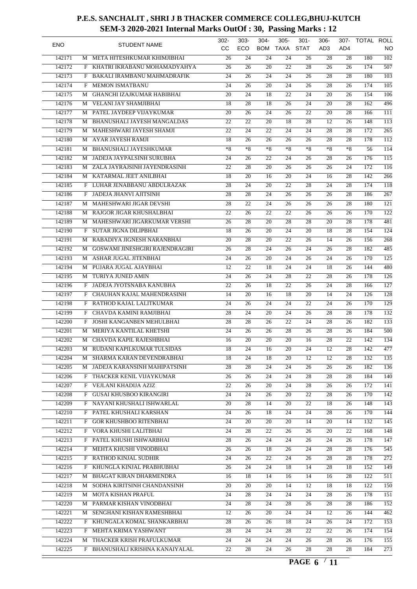| <b>ENO</b> |        |   | <b>STUDENT NAME</b>             | 302-<br>cc      | $303 -$<br>ECO  | $304 -$<br><b>BOM</b> | $305 -$<br><b>TAXA</b> | $301 -$<br><b>STAT</b> | $306 -$<br>AD <sub>3</sub> | 307-<br>AD4     | TOTAL ROLL | NO               |
|------------|--------|---|---------------------------------|-----------------|-----------------|-----------------------|------------------------|------------------------|----------------------------|-----------------|------------|------------------|
|            | 142171 | M | META HITESHKUMAR KHIMJIBHAI     | 26              | 24              | 24                    | 24                     | 26                     | 28                         | 28              | 180        | $\overline{102}$ |
|            | 142172 |   | KHATRI IKRABANU MOHAMADYAHYA    |                 |                 |                       | 22                     | 28                     |                            | 26              | 174        | 507              |
|            |        | F |                                 | 26              | 26              | 20                    |                        |                        | 26                         |                 |            | $\overline{103}$ |
|            | 142173 | F | BAKALI IRAMBANU MAHMADRAFIK     | 24              | 26              | 24                    | 24                     | 26                     | 28                         | 28              | 180        |                  |
|            | 142174 | F | <b>MEMON ISMATBANU</b>          | 24              | 26              | 20                    | $\overline{24}$        | 26                     | 28                         | 26              | 174        | 105              |
|            | 142175 | M | GHANCHI IZAJKUMAR HABIBHAI      | 20              | 24              | 18                    | 22                     | 24                     | 20                         | 26              | 154        | $\overline{106}$ |
|            | 142176 | M | VELANI JAY SHAMJIBHAI           | 18              | 28              | 18                    | 26                     | 24                     | 20                         | 28              | 162        | 496              |
|            | 142177 | M | PATEL JAYDEEP VIJAYKUMAR        | 20              | 26              | $\overline{24}$       | $\overline{26}$        | 22                     | 20                         | 28              | 166        | 111              |
|            | 142178 | М | BHANUSHALI JAYESH MANGALDAS     | 22              | 22              | 20                    | 18                     | 28                     | 12                         | 26              | 148        | $\overline{113}$ |
|            | 142179 | М | MAHESHWARI JAYESH SHAMJI        | 22              | 24              | $\overline{22}$       | 24                     | 24                     | 28                         | 28              | 172        | $\overline{265}$ |
|            | 142180 | М | <b>AYAR JAYESH RAMJI</b>        | 18              | $\overline{26}$ | $\overline{26}$       | $\overline{26}$        | $\overline{26}$        | 28                         | 28              | 178        | 112              |
|            | 142181 | M | <b>BHANUSHALI JAYESHKUMAR</b>   | $*8$            | $*8$            | $*8$                  | $*8$                   | $*8$                   | $*8$                       | $*8$            | 56         | $\overline{114}$ |
|            | 142182 | M | JADEJA JAYPALSINH SURUBHA       | 24              | 26              | 22                    | 24                     | 26                     | 28                         | 26              | 176        | $\overline{115}$ |
|            | 142183 | M | ZALA JAYRAJSINH JAYENDRASINH    | 22              | 28              | 20                    | 26                     | 26                     | 26                         | 24              | 172        | $\overline{116}$ |
|            | 142184 | М | KATARMAL JEET ANILBHAI          | $\overline{18}$ | 20              | 16                    | 20                     | 24                     | 16                         | 28              | 142        | 266              |
|            | 142185 | F | LUHAR JENABBANU ABDULRAZAK      | 28              | 24              | 20                    | 22                     | 28                     | 24                         | 28              | 174        | $\overline{118}$ |
|            | 142186 | F | JADEJA JHANVI AJITSINH          | 28              | 28              | 24                    | 26                     | 26                     | 26                         | 28              | 186        | $\overline{267}$ |
|            | 142187 | М | MAHESHWARI JIGAR DEVSHI         | 28              | 22              | 24                    | 26                     | 26                     | 26                         | 28              | 180        | $\overline{121}$ |
|            | 142188 | M | RAJGOR JIGAR KHUSHALBHAI        | 22              | 26              | 22                    | 22                     | 26                     | 26                         | 26              | 170        | $\overline{122}$ |
|            | 142189 | М | MAHESHWARI JIGARKUMAR VERSHI    | 26              | 28              | 20                    | 28                     | 28                     | 20                         | 28              | 178        | 481              |
|            | 142190 | F | <b>SUTAR JIGNA DILIPBHAI</b>    | $\overline{18}$ | 26              | 20                    | 24                     | 20                     | 18                         | 28              | 154        | 124              |
|            | 142191 | М | RABADIYA JIGNESH NARANBHAI      | 20              | 28              | 20                    | 22                     | 26                     | 14                         | 26              | 156        | 268              |
|            | 142192 | М | GOSWAMI JINESHGIRI RAJENDRAGIRI | 26              | 28              | 24                    | 26                     | 24                     | 26                         | 28              | 182        | 485              |
|            | 142193 | M | ASHAR JUGAL JITENBHAI           | 24              | 26              | 20                    | $\overline{24}$        | 26                     | 24                         | 26              | 170        | $\overline{125}$ |
|            | 142194 | M | PUJARA JUGAL AJAYBHAI           | 12              | 22              | 18                    | 24                     | 24                     | 18                         | 26              | 144        | 480              |
|            | 142195 | M | TURIYA JUNED AMIN               | 24              | 26              | 24                    | 28                     | 22                     | 28                         | 26              | 178        | $\frac{126}{2}$  |
|            | 142196 | F | JADEJA JYOTSNABA KANUBHA        | 22              | 26              | 18                    | 22                     | 26                     | 24                         | 28              | 166        | $\overline{127}$ |
|            | 142197 | F | CHAUHAN KAJAL MAHENDRASINH      | 14              | 20              | 16                    | 18                     | 20                     | 14                         | 24              | 126        | $\overline{128}$ |
|            |        |   |                                 |                 |                 | 24                    | 24                     | 22                     | 24                         |                 |            | $\overline{129}$ |
|            | 142198 | F | RATHOD KAJAL LALITKUMAR         | 24              | 26              |                       |                        |                        |                            | 26              | 170        |                  |
|            | 142199 | F | CHAVDA KAMINI RAMJIBHAI         | $\overline{28}$ | 24              | 20                    | $\overline{24}$        | 26                     | 28                         | 28              | 178        | 132              |
|            | 142200 | F | JOSHI KANGANBEN MEHULBHAI       | 28              | 28              | 26                    | 22                     | 24                     | 28                         | 26              | 182        | $\overline{133}$ |
|            | 142201 | М | MERIYA KANTILAL KHETSHI         | 24              | 26              | 26                    | 28                     | 26                     | 28                         | 26              | 184        | $\overline{500}$ |
|            | 142202 | М | CHAVDA KAPIL RAJESHBHAI         | 16              | 20              | 20                    | 20                     | 16                     | 28                         | 22              | 142        | 134              |
|            | 142203 |   | M RUDANI KAPILKUMAR TULSIDAS    | 18              | $\overline{24}$ | 16                    | $\overline{20}$        | $\overline{24}$        | $\overline{12}$            | $\overline{28}$ | 142        | 477              |
|            | 142204 |   | M SHARMA KARAN DEVENDRABHAI     | 18              | 24              | 18                    | 20                     | 12                     | 12                         | 28              | 132        | 135              |
|            | 142205 | М | JADEJA KARANSINH MAHIPATSINH    | 28              | 28              | 24                    | 24                     | 26                     | 26                         | 26              | 182        | $\overline{136}$ |
|            | 142206 |   | F THACKER KENIL VIJAYKUMAR      | 26              | 26              | 24                    | 24                     | 28                     | 28                         | 28              | 184        | $\overline{140}$ |
|            | 142207 |   | F VEJLANI KHADIJA AZIZ          | 22              | 26              | 20                    | 24                     | 28                     | 26                         | 26              | 172        | 141              |
|            | 142208 | F | <b>GUSAI KHUSBOO KIRANGIRI</b>  | $\overline{24}$ | $\overline{24}$ | 26                    | 20                     | $\overline{22}$        | 28                         | 26              | 170        | 142              |
|            | 142209 |   | F NAYANI KHUSHALI ISHWARLAL     | 20              | 28              | 14                    | 20                     | $\overline{22}$        | 18                         | 26              | 148        | $\overline{143}$ |
|            | 142210 |   | F PATEL KHUSHALI KARSHAN        | 24              | 26              | 18                    | 24                     | 24                     | 28                         | 26              | 170        | 144              |
|            | 142211 |   | F GOR KHUSHBOO RITENBHAI        | 24              | 20              | 20                    | 20                     | 14                     | 20                         | 14              | 132        | 145              |
|            | 142212 |   | F VORA KHUSHI LALITBHAI         | 24              | 28              | 22                    | 26                     | 26                     | 20                         | 22              | 168        | $\overline{148}$ |
|            | 142213 |   | F PATEL KHUSHI ISHWARBHAI       | 28              | 26              | 24                    | 24                     | 26                     | 24                         | 26              | 178        | $\overline{147}$ |
|            | 142214 |   | F MEHTA KHUSHI VINODBHAI        | 26              | 26              | 18                    | 26                     | 24                     | 28                         | 28              | 176        | 545              |
|            | 142215 |   | F RATHOD KINJAL SUDHIR          | 24              | 26              | 22                    | 24                     | 26                     | 28                         | 28              | 178        | $\overline{272}$ |
|            | 142216 |   | F KHUNGLA KINJAL PRABHUBHAI     | 26              | 24              | 24                    | 18                     | 14                     | 28                         | 18              | 152        | 149              |
|            | 142217 |   | M BHAGAT KIRAN DHARMENDRA       | 16              | 18              | 14                    | 16                     | 14                     | 16                         | 28              | 122        | 511              |
|            | 142218 |   | M SODHA KIRITSINH CHANDANSINH   | 20              | 20              | 20                    | 14                     | 12                     | 18                         | 18              | 122        | $\overline{150}$ |
|            | 142219 |   | M MOTA KISHAN PRAFUL            | $\overline{24}$ | 28              | 24                    | $\overline{24}$        | 24                     | 28                         | 26              | 178        | 151              |
|            | 142220 |   | M PARMAR KISHAN VINODBHAI       | 24              | 28              | 24                    | 28                     | 26                     | 28                         | 28              | 186        | 152              |
|            | 142221 |   | M SENGHANI KISHAN RAMESHBHAI    | 12              | 26              | 20                    | 24                     | 24                     | 12                         | 26              | 144        | $\overline{462}$ |
|            |        |   |                                 |                 |                 |                       |                        |                        |                            |                 |            |                  |
|            | 142222 |   | F KHUNGALA KOMAL SHANKARBHAI    | 28              | 26              | 26                    | 18                     | 24                     | 26                         | 24              | 172        | 153              |
|            | 142223 |   | F MEHTA KRIMA YASHWANT          | 28              | 24              | 24                    | 28                     | 22                     | 22                         | 26              | 174        | 154              |
|            | 142224 | М | THACKER KRISH PRAFULKUMAR       | 24              | 24              | 24                    | 24                     | 26                     | 28                         | 26              | 176        | $\overline{155}$ |
|            | 142225 |   | F BHANUSHALI KRISHNA KANAIYALAL | $\overline{22}$ | 28              | 24                    | 26                     | 28                     | 28                         | 28              | 184        | $\overline{273}$ |
|            |        |   |                                 |                 |                 |                       |                        |                        |                            |                 |            |                  |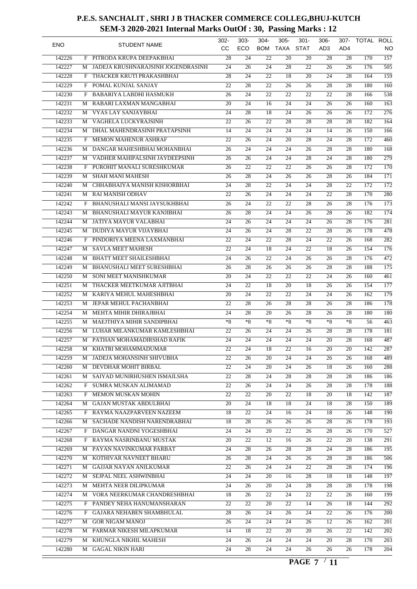| <b>ENO</b> |   | <b>STUDENT NAME</b>                | 302-<br>CC.     | $303 -$<br>ECO  | $304 -$<br><b>BOM</b> | $305 -$<br>TAXA | $301 -$<br><b>STAT</b> | $306 -$<br>AD3  | 307-<br>AD4     | TOTAL ROLL | NO               |
|------------|---|------------------------------------|-----------------|-----------------|-----------------------|-----------------|------------------------|-----------------|-----------------|------------|------------------|
| 142226     |   | F PITRODA KRUPA DEEPAKBHAI         | 28              | 24              | 22                    | 20              | 20                     | 28              | 28              | 170        | $\overline{157}$ |
| 142227     | М | JADEJA KRUSHNARAJSINH JOGENDRASINH | 24              | 26              | 24                    | 28              | 22                     | 26              | 26              | 176        | $\overline{505}$ |
| 142228     |   | F THACKER KRUTI PRAKASHBHAI        | 28              | 24              | 22                    | 18              | 20                     | 24              | 28              | 164        | 159              |
| 142229     | F | POMAL KUNJAL SANJAY                | 22              | 28              | $\overline{22}$       | 26              | 26                     | 28              | 28              | 180        | 160              |
| 142230     | F | BABARIYA LABDHI HASMUKH            | 26              | 24              | 22                    | 22              | 22                     | 22              | 28              | 166        | $\overline{538}$ |
| 142231     | M | RABARI LAXMAN MANGABHAI            | 20              | 24              | 16                    | 24              | 24                     | 26              | 26              | 160        | $\overline{163}$ |
| 142232     |   | M VYAS LAY SANJAYBHAI              | 24              | 28              | 18                    | $\overline{24}$ | 26                     | 26              | 26              | 172        | 276              |
| 142233     | M | VAGHELA LUCKYRAJSINH               | 22              | 26              | 22                    | 28              | 28                     | 28              | 28              | 182        | 164              |
| 142234     |   | M DHAL MAHENDRASINH PRATAPSINH     | 14              | 24              | 24                    | 24              | 24                     | 14              | 26              | 150        | 166              |
| 142235     | F | MEMON MAHENUR ASHRAF               | 22              | 26              | 24                    | 20              | 28                     | 24              | 28              | 172        | 460              |
| 142236     | M | DANGAR MAHESHBHAI MOHANBHAI        | 26              | 24              | 24                    | 24              | 26                     | 28              | 28              | 180        | $\overline{168}$ |
| 142237     | M | VADHER MAHIPALSINH JAYDEEPSINH     | 26              | 26              | 24                    | 24              | 28                     | 24              | 28              | 180        | $\overline{279}$ |
| 142238     |   | F PUROHIT MANALI SURESHKUMAR       | 26              | 22              | 22                    | 22              | 26                     | 26              | 28              | 172        | $\overline{170}$ |
| 142239     | М | <b>SHAH MANI MAHESH</b>            | 26              | 28              | 24                    | 26              | 26                     | 28              | 26              | 184        | $\overline{171}$ |
| 142240     | M | CHHABHAIYA MANISH KISHORBHAI       | 24              | 28              | 22                    | 24              | 24                     | 28              | 22              | 172        | $\overline{172}$ |
| 142241     | М | <b>RAI MANISH ODHAV</b>            | 22              | 26              | 24                    | 24              | 24                     | 22              | 28              | 170        | 280              |
| 142242     | F | BHANUSHALI MANSI JAYSUKHBHAI       | 26              | 24              | 22                    | 22              | 28                     | 26              | 28              | 176        | $\overline{173}$ |
| 142243     | М | BHANUSHALI MAYUR KANJIBHAI         | 26              | 28              | 24                    | 24              | 26                     | 28              | 26              | 182        | 174              |
| 142244     |   | M JATIYA MAYUR VALABHAI            | 24              | 26              | 24                    | 24              | 24                     | 26              | 28              | 176        | 281              |
| 142245     | М | <b>DUDIYA MAYUR VIJAYBHAI</b>      | 24              | 26              | 24                    | 28              | 22                     | 28              | 26              | 178        | 478              |
| 142246     | F | PINDORIYA MEENA LAXMANBHAI         | 22              | 24              | $\overline{22}$       | 28              | 24                     | 22              | 26              | 168        | $\overline{282}$ |
| 142247     | M | <b>SAVLA MEET MAHESH</b>           | 22              | 24              | 18                    | 24              | 22                     | 18              | 26              | 154        | $\overline{176}$ |
| 142248     | M | <b>BHATT MEET SHAILESHBHAI</b>     | 24              | 26              | 22                    | 24              | 26                     | 26              | 28              | 176        | 472              |
| 142249     | M | BHANUSHALI MEET SURESHBHAI         | 26              | 28              | 26                    | 26              | 26                     | 28              | 28              | 188        | $\overline{175}$ |
| 142250     | M | SONI MEET MANISHKUMAR              | 20              | 24              | 22                    | 22              | 22                     | 24              | 26              | 160        | 461              |
| 142251     | М | THACKER MEETKUMAR AJITBHAI         | 24              | 22              | 18                    | 20              | 18                     | 26              | 26              | 154        | $\overline{177}$ |
| 142252     | M | KARIYA MEHUL MAHESHBHAI            | 20              | 24              | 22                    | 22              | 24                     | 24              | 26              | 162        | $\overline{179}$ |
| 142253     | M | JEPAR MEHUL PACHANBHAI             | 22              | 28              | 26                    | 28              | 28                     | 26              | 28              | 186        | $\overline{178}$ |
| 142254     | М | MEHTA MIHIR DHIRAJBHAI             | 24              | 28              | 20                    | 26              | 28                     | 26              | 28              | 180        | 180              |
| 142255     | М | <b>MAEJTHIYA MIHIR SANDIPBHAI</b>  | $*8$            | $*8$            | $*8$                  | $*8$            | $*8$                   | $*8$            | $*8$            | 56         | $\overline{463}$ |
| 142256     |   | M LUHAR MILANKUMAR KAMLESHBHAI     | 22              | 26              | 24                    | 24              | 26                     | 28              | 28              | 178        | 181              |
| 142257     | М | PATHAN MOHAMADIRSHAD RAFIK         | 24              | 24              | 24                    | 24              | 24                     | 20              | 28              | 168        | 487              |
|            |   |                                    | $\overline{22}$ |                 |                       | $\overline{22}$ |                        |                 |                 |            | $\overline{287}$ |
| 142258     |   | M KHATRI MOHAMMADUMAR              |                 | $\overline{24}$ | $\overline{18}$       |                 | 16                     | $\overline{20}$ | $\overline{20}$ | 142        |                  |
| 142259     |   | M JADEJA MOHANSINH SHIVUBHA        | 22              | 26              | 20                    | 24              | 24                     | 26              | 26              | 168        | 489              |
| 142260     | М | DEVDHAR MOHIT BIRBAL               | 22              | 24              | 20                    | 24              | 26                     | 18              | 26              | 160        | 288              |
| 142261     |   | M SAIYAD MUNIRHUSHEN ISMAILSHA     | 22              | 28              | 24                    | 28              | 28                     | 28              | 28              | 186        | 186              |
| 142262     |   | F SUMRA MUSKAN ALIMAMAD            | 22              | 26              | 24                    | 24              | 26                     | 28              | 28              | 178        | 188              |
| 142263     | F | MEMON MUSKAN MOHIN                 | $\overline{22}$ | 22              | 20                    | 22              | 18                     | 20              | 18              | 142        | 187              |
| 142264     |   | M GAJAN MUSTAK ABDULBHAI           | 20              | 24              | 18                    | 18              | 24                     | 18              | 28              | 150        | 189              |
| 142265     |   | F RAYMA NAAZPARVEEN NAZEEM         | 18              | 22              | 24                    | 16              | 24                     | 18              | 26              | 148        | 190              |
| 142266     | М | SACHADE NANDISH NARENDRABHAI       | 18              | 28              | 26                    | 26              | 26                     | 28              | 26              | 178        | 193              |
| 142267     |   | F DANGAR NANDNI YOGESHBHAI         | 24              | 24              | 20                    | 22              | 26                     | 28              | 26              | 170        | $\overline{527}$ |
| 142268     |   | F RAYMA NASRINBANU MUSTAK          | 20              | 22              | 12                    | 16              | 26                     | 22              | 20              | 138        | 291              |
| 142269     | M | PAYAN NAVINKUMAR PARBAT            | 24              | 28              | 26                    | 28              | 28                     | 24              | 28              | 186        | $\overline{195}$ |
| 142270     |   | M KOTHIVAR NAVNEET BHARU           | 26              | 28              | 24                    | 26              | 26                     | 28              | 28              | 186        | 506              |
| 142271     |   | M GAJJAR NAYAN ANILKUMAR           | 22              | 26              | 24                    | 24              | 22                     | 28              | 28              | 174        | 196              |
| 142272     |   | M SEJPAL NEEL ASHWINBHAI           | 24              | 24              | 20                    | 16              | 28                     | 18              | 18              | 148        | 197              |
| 142273     |   | M MEHTA NEER DILIPKUMAR            | 24              | 26              | 20                    | 24              | 28                     | 28              | 28              | 178        | 198              |
| 142274     |   | M VORA NEERKUMAR CHANDRESHBHAI     | 18              | 26              | 22                    | 24              | 22                     | 22              | 26              | 160        | 199              |
| 142275     |   | F PANDEY NEHA HANUMANSHARAN        | 22              | 22              | 20                    | 22              | 14                     | 26              | 18              | 144        | 292              |
| 142276     |   | F GAJARA NEHABEN SHAMBHULAL        | 28              | 26              | 24                    | 26              | 24                     | 22              | 26              | 176        | 200              |
| 142277     |   | M GOR NIGAM MANOJ                  | 26              | 24              | 24                    | 24              | 26                     | 12              | 26              | 162        | 201              |
| 142278     |   | M PARMAR NIKESH MILAPKUMAR         | 14              | 18              | 22                    | 20              | 20                     | 26              | 22              | 142        | 202              |
| 142279     |   | M KHUNGLA NIKHIL MAHESH            | 24              | 26              | 24                    | 24              | 24                     | 20              | 28              | 170        | 203              |
| 142280     |   | M GAGAL NIKIN HARI                 | 24              | 28              | 24                    | 24              | 26                     | 26              | 26              | 178        | 204              |
|            |   |                                    |                 |                 |                       |                 |                        |                 |                 |            |                  |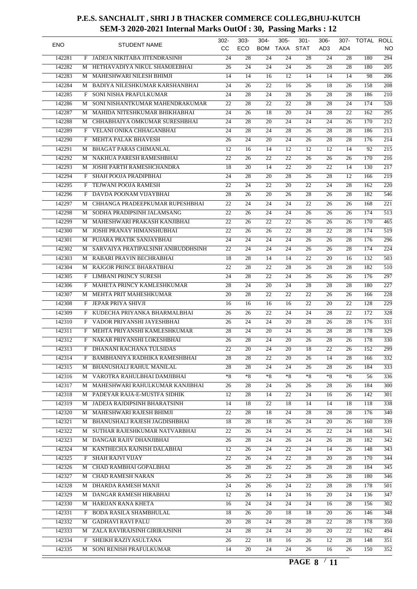| <b>ENO</b> |   | <b>STUDENT NAME</b>                | 302-<br>CС      | $303 -$<br>ECO  | $304 -$<br><b>BOM</b> | $305 -$<br>TAXA | $301 -$<br><b>STAT</b> | $306 -$<br>AD3  | 307-<br>AD4     | TOTAL ROLL | NO               |
|------------|---|------------------------------------|-----------------|-----------------|-----------------------|-----------------|------------------------|-----------------|-----------------|------------|------------------|
| 142281     |   | F JADEJA NIKITABA JITENDRASINH     | 24              | 28              | 24                    | 24              | 28                     | 24              | 28              | 180        | 294              |
|            |   |                                    |                 |                 |                       |                 |                        |                 |                 |            |                  |
| 142282     | M | HETHAVADIYA NIKUL SHAMJEEBHAI      | 26              | 24              | 24                    | 24              | 26                     | 28              | 28              | 180        | $\overline{205}$ |
| 142283     |   | M MAHESHWARI NILESH BHIMJI         | 14              | 14              | 16                    | 12              | 14                     | 14              | 14              | 98         | 206              |
| 142284     | М | BADIYA NILESHKUMAR KARSHANBHAI     | 24              | 26              | 22                    | 16              | 26                     | 18              | $\overline{26}$ | 158        | 208              |
| 142285     | F | SONI NISHA PRAFULKUMAR             | 24              | 28              | 24                    | 28              | 26                     | $\overline{28}$ | 28              | 186        | $\overline{210}$ |
| 142286     | M | SONI NISHANTKUMAR MAHENDRAKUMAR    | 22              | 28              | 22                    | 22              | 28                     | 28              | 24              | 174        | $\overline{520}$ |
| 142287     | М | MAHIDA NITESHKUMAR BHIKHABHAI      | 24              | 26              | 18                    | $\overline{20}$ | 24                     | 28              | 22              | 162        | 295              |
| 142288     | M | CHHABHAIYA OMKUMAR SURESHBHAI      | 24              | $\overline{28}$ | 20                    | 24              | 24                     | 24              | 26              | 170        | $\overline{212}$ |
| 142289     | F | VELANI ONIKA CHHAGANBHAI           | 24              | $\overline{28}$ | 24                    | 28              | 26                     | 28              | 28              | 186        | $\overline{213}$ |
| 142290     | F | MEHTA PALAK BHAVESH                | $\overline{26}$ | $\overline{24}$ | $\overline{20}$       | 24              | $\overline{26}$        | 28              | 28              | 176        | 214              |
| 142291     | M | <b>BHAGAT PARAS CHIMANLAL</b>      | 12              | 16              | 14                    | 12              | 12                     | 12              | 14              | 92         | $\overline{215}$ |
| 142292     |   | M NAKHUA PARESH RAMESHBHAI         | 22              | 26              | 22                    | 22              | 26                     | 26              | 26              | 170        | $\overline{216}$ |
| 142293     | M | <b>JOSHI PARTH RAMESHCHANDRA</b>   | 18              | 20              | 14                    | 22              | 20                     | 22              | 14              | 130        | $\overline{217}$ |
| 142294     | F | SHAH POOJA PRADIPBHAI              | 24              | 28              | 20                    | 28              | 26                     | 28              | 12              | 166        | $\overline{219}$ |
| 142295     | F | TEJWANI POOJA RAMESH               | 22              | 24              | $\overline{22}$       | 20              | 22                     | 24              | 28              | 162        | $\overline{220}$ |
| 142296     | F | DAVDA POONAM VIJAYBHAI             | 28              | 26              | 20                    | 26              | 28                     | 26              | 28              | 182        | $\overline{546}$ |
| 142297     | М | CHHANGA PRADEEPKUMAR RUPESHBHAI    | 22              | 24              | 24                    | 24              | $\overline{22}$        | 26              | 26              | 168        | $\overline{221}$ |
| 142298     | M | SODHA PRADIPSINH JALAMSANG         | 22              | 26              | 24                    | $\overline{24}$ | 26                     | 26              | 26              | 174        | $\overline{513}$ |
| 142299     | М | MAHESHWARI PRAKASH KANJIBHAI       | 22              | 26              | 22                    | 22              | 26                     | 26              | 26              | 170        | $\frac{465}{ }$  |
| 142300     | M | <b>JOSHI PRANAY HIMANSHUBHAI</b>   | 22              | 26              | 26                    | 22              | 28                     | 22              | 28              | 174        | $\overline{519}$ |
| 142301     | M | PUJARA PRATIK SANJAYBHAI           | 24              | 24              | 24                    | $\overline{24}$ | 26                     | 26              | 28              | 176        | $\overline{296}$ |
| 142302     |   | SARVAIYA PRATIPALSINH ANIRUDDHSINH | 22              | 24              | 24                    | 24              | 26                     | 26              | 28              | 174        | $\overline{224}$ |
| 142303     | М |                                    |                 |                 |                       |                 | $\overline{22}$        |                 |                 | 132        | $\overline{503}$ |
|            | M | RABARI PRAVIN BECHRABHAI           | 18              | 28              | 14                    | 14              |                        | 20              | 16              |            |                  |
| 142304     |   | M RAJGOR PRINCE BHARATBHAI         | 22              | 28              | $\overline{22}$       | 28              | 26                     | 28              | 28              | 182        | $\overline{510}$ |
| 142305     | F | <b>LIMBANI PRINCY SURESH</b>       | 24              | 28              | 22                    | 24              | 26                     | 26              | 26              | 176        | $\overline{297}$ |
| 142306     | F | MAHETA PRINCY KAMLESHKUMAR         | 28              | 24              | 20                    | 24              | 28                     | 28              | 28              | 180        | $\overline{227}$ |
| 142307     | М | MEHTA PRIT MAHESHKUMAR             | 20              | 28              | $\overline{22}$       | 22              | 22                     | 26              | 26              | 166        | $\overline{228}$ |
| 142308     | F | JEPAR PRIYA SHIVJI                 | 16              | 16              | 16                    | 16              | 22                     | 20              | 22              | 128        | 229              |
| 142309     | F | KUDECHA PRIYANKA BHARMALBHAI       | 26              | 26              | 22                    | 24              | 24                     | $\overline{28}$ | 22              | 172        | $\overline{328}$ |
| 142310     |   | F VADOR PRIYANSHI JAYESHBHAI       | 26              | $\overline{24}$ | 24                    | 20              | $\overline{28}$        | 26              | 28              | 176        | 331              |
| 142311     | F | MEHTA PRIYANSHI KAMLESHKUMAR       | 28              | 24              | 20                    | 24              | 26                     | 28              | 28              | 178        | $\overline{329}$ |
| 142312     | F | NAKAR PRIYANSHI LOKESHBHAI         | 26              | 28              | 24                    | 20              | 26                     | 28              | 26              | 178        | $\overline{330}$ |
| 142313     |   | F DHANANI RACHANA TULSIDAS         | $\overline{22}$ | $\overline{20}$ | $\overline{24}$       | $\overline{20}$ | $\overline{18}$        | $\overline{22}$ | $\overline{26}$ | 152        | 299              |
| 142314     |   | F BAMBHANIYA RADHIKA RAMESHBHAI    | 28              | 28              | 22                    | 20              | 26                     | 14              | 28              | 166        | 332              |
| 142315     | М | BHANUSHALI RAHUL MANILAL           | 28              | 28              | 24                    | 24              | 26                     | 28              | 26              | 184        | $\overline{333}$ |
| 142316     |   | M VAROTRA RAHULBHAI DAMJIBHAI      | $*8$            | $*8$            | $*8$                  | $*8$            | $*8$                   | $*8$            | $*8$            | 56         | 336              |
| 142317     |   | M MAHESHWARI RAHULKUMAR KANJIBHAI  | 26              | 28              | 24                    | 26              | 26                     | 28              | 26              | 184        | 300              |
| 142318     |   | M PADEYAR RAJA-E-MUSTFA SIDHIK     | 12              | 28              | 14                    | 22              | 24                     | 16              | 26              | 142        | 301              |
| 142319     |   | M JADEJA RAJDIPSINH BHARATSINH     | 14              | 18              | 22                    | 18              | 14                     | 14              | 18              | 118        | $\overline{338}$ |
| 142320     |   | M MAHESHWARI RAJESH BHIMJI         | 22              | 28              | 18                    | 24              | 28                     | 28              | 28              | 176        | 340              |
| 142321     |   | M BHANUSHALI RAJESH JAGDISHBHAI    | 18              | 28              | 18                    | 26              | 24                     | 20              | 26              | 160        | 339              |
| 142322     |   | M SUTHAR RAJESHKUMAR NATVARBHAI    | $\overline{22}$ | 26              | 24                    | 24              | 26                     | 22              | 24              | 168        | $\overline{341}$ |
|            |   | M DANGAR RAJIV DHANJIBHAI          | $\overline{26}$ |                 |                       |                 |                        |                 |                 |            |                  |
| 142323     |   |                                    |                 | 28              | 24                    | 26              | 24                     | 26              | 28              | 182        | 342              |
| 142324     |   | M KANTHECHA RAJNISH DALABHAI       | 12              | 26              | 24                    | 22              | 24                     | 14              | 26              | 148        | 343              |
| 142325     |   | F SHAH RAJVI VIJAY                 | $\overline{22}$ | 26              | 24                    | 22              | 28                     | 20              | 28              | 170        | $\overline{344}$ |
| 142326     |   | M CHAD RAMBHAI GOPALBHAI           | 26              | 28              | 26                    | 22              | 26                     | 28              | 28              | 184        | 345              |
| 142327     |   | M CHAD RAMESH NARAN                | 26              | 26              | 22                    | 24              | 28                     | 26              | 28              | 180        | 346              |
| 142328     |   | M DHARDA RAMESH MANJI              | 24              | 26              | 26                    | 24              | 22                     | 28              | 28              | 178        | 501              |
| 142329     |   | M DANGAR RAMESH HIRABHAI           | 12              | 26              | 14                    | 24              | 16                     | 20              | 24              | 136        | 347              |
| 142330     |   | M HARIJAN RANA KHETA               | 16              | 24              | 24                    | 24              | 24                     | 16              | 28              | 156        | 302              |
| 142331     |   | F BODA RASILA SHAMBHULAL           | 18              | 26              | 20                    | 18              | 18                     | 20              | 26              | 146        | 348              |
| 142332     |   | M GADHAVI RAVI PALU                | 20              | 28              | 24                    | 28              | 28                     | 22              | 28              | 178        | 350              |
| 142333     |   | M ZALA RAVIRAJSINH GIRIRAJSINH     | 24              | 28              | 24                    | 24              | 20                     | 20              | 22              | 162        | 494              |
| 142334     |   | F SHEIKH RAZIYASULTANA             | 26              | 22              | 18                    | 16              | 26                     | 12              | 28              | 148        | $\overline{351}$ |
| 142335     | M | SONI RENISH PRAFULKUMAR            | 14              | 20              | 24                    | 24              | 26                     | 16              | 26              | 150        | $\overline{352}$ |
|            |   |                                    |                 |                 |                       |                 |                        |                 |                 |            |                  |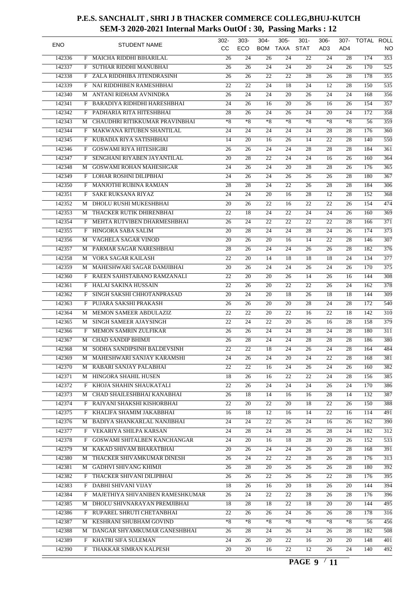| <b>ENO</b> |   | <b>STUDENT NAME</b>                | 302-<br><b>CC</b> | $303 -$<br>ECO  | $304 -$<br><b>BOM</b> | $305 -$<br><b>TAXA</b> | $301 -$<br><b>STAT</b> | $306 -$<br>AD3  | 307-<br>AD4     | TOTAL ROLL | NO               |
|------------|---|------------------------------------|-------------------|-----------------|-----------------------|------------------------|------------------------|-----------------|-----------------|------------|------------------|
| 142336     |   | F MAICHA RIDDHI BIHARILAL          | 26                | 24              | 26                    | 24                     | 22                     | 24              | 28              | 174        | 353              |
| 142337     | F | SUTHAR RIDDHI MANUBHAI             | 26                | 26              | 24                    | 24                     | 20                     | 24              | 26              | 170        | $\overline{525}$ |
| 142338     |   | F ZALA RIDDHIBA JITENDRASINH       | 26                | 26              | 22                    | 22                     | 28                     | 26              | 28              | 178        | 355              |
| 142339     | F | NAI RIDDHIBEN RAMESHBHAI           | $\overline{22}$   | $\overline{22}$ | 24                    | 18                     | 24                     | 12              | 28              | 150        | $\overline{535}$ |
| 142340     | М | ANTANI RIDHAM AVNINDRA             | 26                | 24              | 24                    | 20                     | 26                     | 24              | 24              | 168        | 356              |
| 142341     | F | BARADIYA RIDHDHI HARESHBHAI        | 24                | 26              | 16                    | 20                     | 26                     | 16              | 26              | 154        | 357              |
| 142342     | F | PADHARIA RITA HITESHBHAI           | 28                | 26              | $\overline{24}$       | 26                     | 24                     | 20              | 24              | 172        | 358              |
| 142343     | М | CHAUDHRI RITIKKUMAR PRAVINBHAI     | $*_{8}$           | $*_{8}$         | $*8$                  | $*8$                   | $*8$                   | $*8$            | $*8$            | 56         | 359              |
| 142344     |   | F MAKWANA RITUBEN SHANTILAL        | 24                | $\overline{24}$ | 24                    | 24                     | 24                     | 28              | 28              | 176        | 360              |
| 142345     | F | KUBADIA RIYA SATISHBHAI            | 14                | 20              | 16                    | 26                     | 14                     | 22              | 28              | 140        | $\overline{550}$ |
| 142346     | F | <b>GOSWAMI RIYA HITESHGIRI</b>     | 26                | 26              | 24                    | 24                     | 28                     | 28              | 28              | 184        | $\overline{361}$ |
| 142347     | F | SENGHANI RIYABEN JAYANTILAL        | 20                | 28              | 22                    | 24                     | 24                     | 16              | 26              | 160        | 364              |
| 142348     | М | <b>GOSWAMI ROHAN MAHESHGAR</b>     | 24                | 26              | 24                    | 20                     | 28                     | 28              | 26              | 176        | $\overline{365}$ |
| 142349     | F | LOHAR ROSHNI DILIPBHAI             | 24                | 26              | 24                    | 26                     | 26                     | 26              | 28              | 180        | $\overline{367}$ |
| 142350     | F | <b>MANJOTHI RUBINA RAMJAN</b>      | 28                | 28              | 24                    | 22                     | 26                     | 28              | 28              | 184        | $\overline{306}$ |
| 142351     | F | <b>SAKE RUKSANA RIYAZ</b>          | 24                | 24              | 20                    | 16                     | 28                     | 12              | 28              | 152        | 368              |
| 142352     | М | DHOLU RUSHI MUKESHBHAI             | $\overline{20}$   | 26              | 22                    | 16                     | 22                     | 22              | 26              | 154        | 474              |
| 142353     | М | THACKER RUTIK DHIRENBHAI           | 22                | 18              | 24                    | 22                     | 24                     | 24              | 26              | 160        | 369              |
|            |   |                                    |                   |                 |                       |                        |                        |                 |                 |            |                  |
| 142354     | F | MEHTA RUTVIBEN DHARMESHBHAI        | 26                | 24              | 22                    | 22                     | 22                     | 22              | 28              | 166        | $\overline{371}$ |
| 142355     | F | HINGORA SABA SALIM                 | 20                | 28              | 24                    | 24                     | 28                     | 24              | 26              | 174        | $\overline{373}$ |
| 142356     | М | VAGHELA SAGAR VINOD                | $\overline{20}$   | $\overline{26}$ | 20                    | 16                     | 14                     | 22              | 28              | 146        | $\overline{307}$ |
| 142357     | M | PARMAR SAGAR NARESHBHAI            | 28                | 26              | 24                    | 24                     | 26                     | 26              | 28              | 182        | $\overline{376}$ |
| 142358     | M | VORA SAGAR KAILASH                 | 22                | 20              | 14                    | 18                     | 18                     | 18              | 24              | 134        | $\overline{377}$ |
| 142359     | М | MAHESHWARI SAGAR DAMJIBHAI         | 20                | 26              | 24                    | 24                     | 26                     | 24              | 26              | 170        | $\overline{375}$ |
| 142360     |   | F RAEEN SAHISTABANO RAMZANALI      | 22                | 20              | 20                    | 26                     | 14                     | 26              | 16              | 144        | $\overline{308}$ |
| 142361     | F | <b>HALAI SAKINA HUSSAIN</b>        | 22                | 26              | 20                    | 22                     | 22                     | 26              | 24              | 162        | 378              |
| 142362     | F | SINGH SAKSHI CHHOTANPRASAD         | 20                | 24              | 20                    | 18                     | 26                     | 18              | 18              | 144        | 309              |
| 142363     | F | PUJARA SAKSHI PRAKASH              | 26                | 26              | 20                    | 20                     | 28                     | 24              | 28              | 172        | 540              |
| 142364     | М | MEMON SAMEER ABDULAZIZ             | 22                | 22              | 20                    | 22                     | 16                     | 22              | 18              | 142        | 310              |
| 142365     | М | SINGH SAMEER AJAYSINGH             | 22                | 24              | 22                    | 20                     | 26                     | 16              | 28              | 158        | 379              |
| 142366     | F | MEMON SAMRIN ZULFIKAR              | 26                | 26              | 24                    | 24                     | 28                     | 24              | 28              | 180        | $\overline{311}$ |
| 142367     | М | <b>CHAD SANDIP BHIMJI</b>          | $\overline{26}$   | 28              | 24                    | 24                     | 28                     | 28              | 28              | 186        | 380              |
| 142368     |   | M SODHA SANDIPSINH BALDEVSINH      | $\overline{22}$   | $\overline{22}$ | $\overline{18}$       | $\overline{24}$        | $\overline{26}$        | $\overline{24}$ | $\overline{28}$ | 164        | 484              |
| 142369     |   | M MAHESHWARI SANJAY KARAMSHI       | 24                | 26              | 24                    | 20                     | 24                     | 22              | 28              | 168        | 381              |
| 142370     |   | M RABARI SANJAY PALABHAI           | 22                | 22              | 16                    | 24                     | 26                     | 24              | 26              | 160        | $\overline{382}$ |
| 142371     |   | M HINGORA SHAHIL HUSEN             | 18                | 26              | 16                    | 22                     | 22                     | 24              | 28              | 156        | $\overline{385}$ |
| 142372     |   | F KHOJA SHAHIN SHAUKATALI          | 22                | 26              | 24                    | 24                     | 24                     | 26              | 24              | 170        | 386              |
| 142373     |   | M CHAD SHAILESHBHAI KANABHAI       | 26                | 18              | 14                    | 16                     | 16                     | 28              | 14              | 132        | 387              |
| 142374     |   | F RAIYANI SHAKSHI KISHORBHAI       | $\overline{22}$   | 20              | 22                    | 20                     | 18                     | 22              | 26              | 150        | 388              |
| 142375     |   | F KHALIFA SHAMIM JAKABBHAI         | 16                | 18              | 12                    | 16                     | 14                     | 22              | 16              | 114        | 491              |
| 142376     |   | M BADIYA SHANKARLAL NANJIBHAI      | 24                | 24              | 22                    | 26                     | 24                     | 16              | 26              | 162        | 390              |
| 142377     |   | F VEKARIYA SHILPA KARSAN           | 24                | 28              | 24                    | 28                     | 26                     | 28              | 24              | 182        | $\overline{312}$ |
| 142378     |   | F GOSWAMI SHITALBEN KANCHANGAR     | 24                | 20              | 16                    | 18                     | 28                     | 20              | 26              | 152        | 533              |
| 142379     |   | M KAKAD SHIVAM BHARATBHAI          | 20                | 26              | 24                    | 24                     | 26                     | 20              | 28              | 168        | 391              |
| 142380     |   | M THACKER SHIVAMKUMAR DINESH       | 26                | 24              | 22                    | 22                     | 28                     | 26              | 28              | 176        | 313              |
|            |   |                                    |                   |                 |                       |                        |                        |                 |                 |            |                  |
| 142381     |   | M GADHVI SHIVANG KHIMJI            | 26                | 28              | 20                    | 26                     | 26                     | 26              | 28              | 180        | 392              |
| 142382     |   | F THACKER SHIVANI DILIPBHAI        | 26                | 26              | 22                    | 26                     | 26                     | 22              | 28              | 176        | 395              |
| 142383     |   | F DABHI SHIVANI VIJAY              | 18                | 26              | 16                    | 20                     | 18                     | 26              | 20              | 144        | 394              |
| 142384     |   | F MAJETHIYA SHIVANIBEN RAMESHKUMAR | 26                | 24              | 22                    | 22                     | 28                     | 26              | 28              | 176        | 396              |
| 142385     |   | M DHOLU SHIVNARAYAN PREMJIBHAI     | 18                | 28              | 18                    | 22                     | 18                     | 20              | 20              | 144        | 495              |
| 142386     |   | F RUPAREL SHRUTI CHETANBHAI        | 22                | 26              | 26                    | 24                     | 26                     | 26              | 28              | 178        | $\overline{316}$ |
| 142387     |   | M KESHRANI SHUBHAM GOVIND          | $*8$              | $*8$            | $*8$                  | $*8$                   | $*8$                   | $*8$            | $*8$            | 56         | 456              |
| 142388     |   | M DANGAR SHYAMKUMAR GANESHBHAI     | 26                | 28              | 24                    | 26                     | 24                     | 26              | 28              | 182        | 508              |
| 142389     |   | F KHATRI SIFA SULEMAN              | 24                | 26              | 20                    | 22                     | 16                     | 20              | 20              | 148        | 401              |
| 142390     |   | F THAKKAR SIMRAN KALPESH           | 20                | 20              | 16                    | 22                     | 12                     | 26              | 24              | 140        | 492              |
|            |   |                                    |                   |                 |                       |                        |                        |                 |                 |            |                  |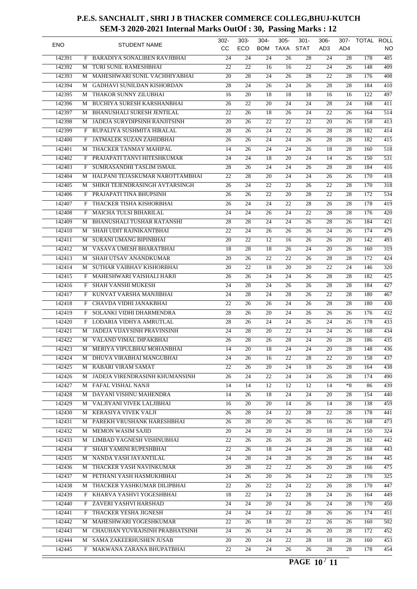| <b>ENO</b> |   | <b>STUDENT NAME</b>                 | 302-<br>cc      | $303 -$<br>ECO  | $304 -$<br><b>BOM</b> | $305 -$<br><b>TAXA</b> | $301 -$<br><b>STAT</b> | $306 -$<br>AD3  | 307-<br>AD4     | TOTAL ROLL | NO               |
|------------|---|-------------------------------------|-----------------|-----------------|-----------------------|------------------------|------------------------|-----------------|-----------------|------------|------------------|
| 142391     | F | <b>BARADIYA SONALIBEN RAVJIBHAI</b> | 24              | 24              | 24                    | 26                     | 28                     | 24              | 28              | 178        | $\overline{405}$ |
| 142392     | М | TURI SUNIL RAMESHBHAI               | 22              | 22              | 16                    | 16                     | 22                     | 24              | 26              | 148        | $\overline{409}$ |
| 142393     | М | MAHESHWARI SUNIL VACHHIYABHAI       | 20              | 28              | 24                    | 26                     | 28                     | 22              | 28              | 176        | $\overline{408}$ |
| 142394     | М | <b>GADHAVI SUNILDAN KISHORDAN</b>   | $\overline{28}$ | $\overline{24}$ | 26                    | $\overline{24}$        | 26                     | 28              | 28              | 184        | 410              |
| 142395     | М | THAKOR SUNNY ZILUBHAI               | 16              | 20              | 18                    | 18                     | 18                     | 16              | 16              | 122        | 497              |
| 142396     | M | BUCHIYA SURESH KARSHANBHAI          | 26              | 22              | 20                    | 24                     | 24                     | 28              | 24              | 168        | 411              |
| 142397     | М | <b>BHANUSHALI SURESH JENTILAL</b>   | $\overline{22}$ | $\overline{26}$ | 18                    | $\overline{26}$        | 24                     | 22              | 26              | 164        | 514              |
| 142398     | М | JADEJA SURYDIPSINH RANJITSINH       | 20              | 26              | 22                    | 22                     | 22                     | 20              | 26              | 158        | $\overline{413}$ |
| 142399     | F | RUPALIYA SUSHMITA HIRALAL           | 28              | 26              | 24                    | $\overline{22}$        | 26                     | 28              | 28              | 182        | $\overline{414}$ |
| 142400     | F | JATMALEK SUZAN ZAHIDBHAI            | 26              | $\overline{26}$ | 24                    | $\overline{24}$        | $\overline{26}$        | 28              | 28              | 182        | 415              |
| 142401     | М | THACKER TANMAY MAHIPAL              | 14              | 26              | 24                    | 24                     | 26                     | 18              | 28              | 160        | $\overline{518}$ |
|            |   |                                     |                 |                 |                       |                        |                        |                 |                 |            |                  |
| 142402     | F | PRAJAPATI TANVI HITESHKUMAR         | 24              | 24              | 18                    | 20                     | 24                     | 14              | 26              | 150        | $\overline{531}$ |
| 142403     | F | SUMRASANDHI TASLIM ISMAIL           | 28              | 26              | 24                    | 24                     | 26                     | 28              | 28              | 184        | $\overline{416}$ |
| 142404     | М | HALPANI TEJASKUMAR NAROTTAMBHAI     | 22              | $\overline{28}$ | 20                    | 24                     | 24                     | 26              | 26              | 170        | $\overline{418}$ |
| 142405     | М | SHIKH TEJENDRASINGH AVTARSINGH      | 26              | 24              | 22                    | 22                     | 26                     | 22              | 28              | 170        | $\overline{318}$ |
| 142406     | F | PRAJAPATI TINA BHUPSINH             | 26              | 26              | 22                    | 20                     | 28                     | 22              | 28              | 172        | 534              |
| 142407     | F | THACKER TISHA KISHORBHAI            | 26              | 24              | 24                    | 22                     | 28                     | 26              | 28              | 178        | 419              |
| 142408     | F | <b>MAICHA TULSI BIHARILAL</b>       | 24              | 24              | 26                    | 24                     | 22                     | 28              | 28              | 176        | $\overline{420}$ |
| 142409     | М | BHANUSHALI TUSHAR RATANSHI          | 28              | 28              | 24                    | 24                     | 26                     | 28              | 26              | 184        | 421              |
| 142410     | М | SHAH UDIT RAJNIKANTBHAI             | 22              | 24              | 26                    | 26                     | 26                     | 24              | 26              | 174        | 479              |
| 142411     | М | SURANI UMANG BIPINBHAI              | 20              | 22              | $\overline{12}$       | 16                     | 26                     | 26              | 20              | 142        | 493              |
| 142412     | M | VASAVA UMESH BHARATBHAI             | 18              | 28              | 18                    | 26                     | 24                     | 20              | 26              | 160        | $\overline{319}$ |
| 142413     | M | SHAH UTSAV ANANDKUMAR               | 20              | 26              | 22                    | 22                     | 26                     | 28              | 28              | 172        | $\overline{424}$ |
| 142414     | M | SUTHAR VAIBHAV KISHORBHAI           | 20              | 22              | 18                    | 20                     | 20                     | 22              | 24              | 146        | $\overline{320}$ |
| 142415     | F | MAHESHWARI VAISHALI HARJI           | 26              | 26              | 24                    | 24                     | 26                     | 28              | 28              | 182        | $\overline{425}$ |
| 142416     | F | <b>SHAH VANSHI MUKESH</b>           | 24              | $\overline{28}$ | 24                    | 26                     | 26                     | 28              | 28              | 184        | $\overline{427}$ |
| 142417     | F | KUNVAT VARSHA MANJIBHAI             | 24              | 28              | 24                    | 28                     | 26                     | 22              | 28              | 180        | $\overline{467}$ |
| 142418     | F | CHAVDA VIDHI JANAKBHAI              | 22              | 26              | 26                    | 24                     | 26                     | 28              | 28              | 180        | $\overline{430}$ |
| 142419     | F | SOLANKI VIDHI DHARMENDRA            | $\overline{28}$ | 26              | 20                    | $\overline{24}$        | 26                     | 26              | 26              | 176        | 432              |
| 142420     | F | LODARIA VIDHYA AMRUTLAL             | 28              | 26              | 24                    | 24                     | 26                     | 24              | 26              | 178        | 433              |
| 142421     | M | JADEJA VIJAYSINH PRAVINSINH         | 24              | 28              | 20                    | 22                     | 24                     | 24              | 26              | 168        | 434              |
| 142422     | М | VALAND VIMAL DIPAKBHAI              | 26              | 28              | 26                    | $\overline{28}$        | 24                     | 26              | 28              | 186        | $\overline{435}$ |
| 142423     |   | M MERIYA VIPULBHAI MOHANBHAI        | 14              | $\overline{20}$ | 18                    | $\overline{24}$        | $\overline{24}$        | $\overline{20}$ | $\overline{28}$ | 148        | 436              |
| 142424     |   | M DHUVA VIRABHAI MANGUBHAI          | 24              | 26              | 16                    | 22                     | 28                     | 22              | 20              | 158        | 437              |
| 142425     |   | M RABARI VIRAM SAMAT                | $\overline{22}$ | 26              | 20                    | 24                     | 18                     | 26              | 28              | 164        | 438              |
| 142426     |   | M JADEJA VIRENDRASINH KHUMANSINH    | 26              | 24              | 22                    | 24                     | 24                     | 26              | 28              | 174        | 490              |
| 142427     |   | M FAFAL VISHAL NANJI                | 14              | 14              | 12                    | 12                     | 12                     | 14              | $*8$            | 86         | 439              |
| 142428     |   | M DAYANI VISHNU MAHENDRA            | 14              | 26              | 18                    | 24                     | 24                     | 20              | 28              | 154        | 440              |
| 142429     |   | M VALJIYANI VIVEK LALJIBHAI         | 16              | 20              | 20                    | 14                     | 26                     | 14              | 28              | 138        | 459              |
| 142430     |   | M KERASIYA VIVEK VALJI              | 26              | 28              | 24                    | 22                     | 28                     | 22              | 28              | 178        | 441              |
| 142431     |   | M PAREKH VRUSHANK HARESHBHAI        | 26              | 28              | 20                    | 26                     | 26                     | 16              | 26              | 168        | 473              |
| 142432     |   | M MEMON WASIM SAJID                 | 20              | 24              | 20                    | 24                     | 20                     | 18              | 24              | 150        | $\overline{324}$ |
| 142433     |   | M LIMBAD YAGNESH VISHNUBHAI         | $\overline{22}$ | 26              | 26                    | 26                     | 26                     | 28              | 28              | 182        | 442              |
| 142434     |   | F SHAH YAMINI RUPESHBHAI            | 22              | 26              | 18                    | 24                     | 24                     | 28              | 26              | 168        | 443              |
| 142435     |   | M NANDA YASH JAYANTILAL             | 24              | 28              | 24                    | 28                     | 26                     | 28              | 26              | 184        | 445              |
| 142436     |   | M THACKER YASH NAVINKUMAR           | 20              | 28              | 22                    | 22                     | 26                     | 20              | 28              | 166        | 475              |
| 142437     |   | M PETHANI YASH HASMUKHBHAI          | 24              | 26              | 20                    | 26                     | 24                     | 22              | 28              | 170        | 325              |
| 142438     |   | M THACKER YASHKUMAR DILIPBHAI       | 22              | 26              | 22                    | 24                     | 22                     | 26              | 28              | 170        | 447              |
| 142439     |   | F KHARVA YASHVI YOGESHBHAI          | 18              | 22              | 24                    | 22                     | 28                     | 24              | 26              | 164        | 449              |
| 142440     |   | F ZAVERI YASHVI HARSHAD             | 24              | 24              | 20                    | 24                     | 26                     | 24              | 28              | 170        | 450              |
| 142441     |   | F THACKER YESHA JIGNESH             | 24              | 24              | 24                    | 22                     | 28                     | 26              | 26              | 174        | 451              |
| 142442     |   |                                     |                 |                 |                       |                        |                        |                 |                 |            |                  |
|            |   | M MAHESHWARI YOGESHKUMAR            | 22              | 26              | 18                    | 20                     | 22                     | 26              | 26              | 160        | 502              |
| 142443     |   | M CHAUHAN YUVRAJSINH PRABHATSINH    | 24              | 26              | 24                    | 24                     | 26                     | 20              | 28              | 172        | 452              |
| 142444     |   | M SAMA ZAKEERHUSHEN JUSAB           | 20              | 20              | 24                    | 22                     | 28                     | 18              | 28              | 160        | 453              |
| 142445     |   | F MAKWANA ZARANA BHUPATBHAI         | $\overline{22}$ | $\overline{24}$ | 24                    | 26                     | 26                     | 28              | 28              | 178        | 454              |